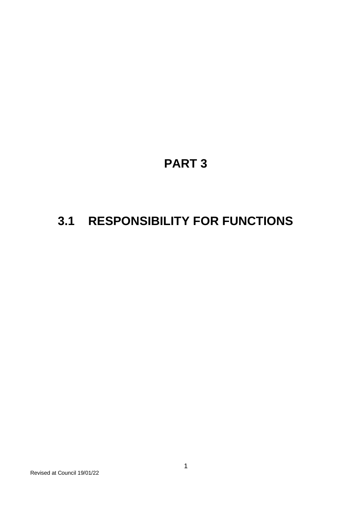# **PART 3**

# **3.1 RESPONSIBILITY FOR FUNCTIONS**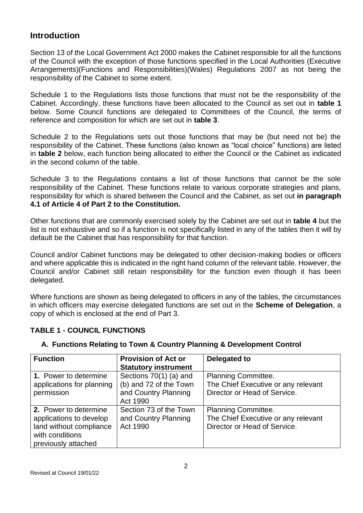### **Introduction**

Section 13 of the Local Government Act 2000 makes the Cabinet responsible for all the functions of the Council with the exception of those functions specified in the Local Authorities (Executive Arrangements)(Functions and Responsibilities)(Wales) Regulations 2007 as not being the responsibility of the Cabinet to some extent.

Schedule 1 to the Regulations lists those functions that must not be the responsibility of the Cabinet. Accordingly, these functions have been allocated to the Council as set out in **table 1** below. Some Council functions are delegated to Committees of the Council, the terms of reference and composition for which are set out in **table 3**.

Schedule 2 to the Regulations sets out those functions that may be (but need not be) the responsibility of the Cabinet. These functions (also known as "local choice" functions) are listed in **table 2** below, each function being allocated to either the Council or the Cabinet as indicated in the second column of the table.

Schedule 3 to the Regulations contains a list of those functions that cannot be the sole responsibility of the Cabinet. These functions relate to various corporate strategies and plans, responsibility for which is shared between the Council and the Cabinet, as set out **in paragraph 4.1 of Article 4 of Part 2 to the Constitution.**

Other functions that are commonly exercised solely by the Cabinet are set out in **table 4** but the list is not exhaustive and so if a function is not specifically listed in any of the tables then it will by default be the Cabinet that has responsibility for that function.

Council and/or Cabinet functions may be delegated to other decision-making bodies or officers and where applicable this is indicated in the right hand column of the relevant table. However, the Council and/or Cabinet still retain responsibility for the function even though it has been delegated.

Where functions are shown as being delegated to officers in any of the tables, the circumstances in which officers may exercise delegated functions are set out in the **Scheme of Delegation**, a copy of which is enclosed at the end of Part 3.

#### **TABLE 1 - COUNCIL FUNCTIONS**

| <b>Function</b>                                                                                                       | <b>Provision of Act or</b><br><b>Statutory instrument</b>                            | Delegated to                                                                                      |
|-----------------------------------------------------------------------------------------------------------------------|--------------------------------------------------------------------------------------|---------------------------------------------------------------------------------------------------|
| 1. Power to determine<br>applications for planning<br>permission                                                      | Sections 70(1) (a) and<br>(b) and 72 of the Town<br>and Country Planning<br>Act 1990 | <b>Planning Committee.</b><br>The Chief Executive or any relevant<br>Director or Head of Service. |
| 2. Power to determine<br>applications to develop<br>land without compliance<br>with conditions<br>previously attached | Section 73 of the Town<br>and Country Planning<br>Act 1990                           | Planning Committee.<br>The Chief Executive or any relevant<br>Director or Head of Service.        |

#### **A. Functions Relating to Town & Country Planning & Development Control**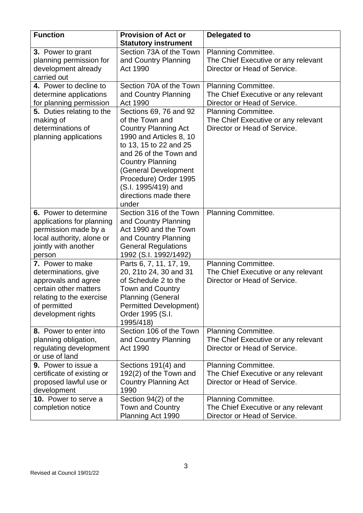| <b>Function</b>                                                                                                                                            | <b>Provision of Act or</b><br><b>Statutory instrument</b>                                                                                                                                                                                                                                    | Delegated to                                                                                      |
|------------------------------------------------------------------------------------------------------------------------------------------------------------|----------------------------------------------------------------------------------------------------------------------------------------------------------------------------------------------------------------------------------------------------------------------------------------------|---------------------------------------------------------------------------------------------------|
| 3. Power to grant<br>planning permission for<br>development already<br>carried out                                                                         | Section 73A of the Town<br>and Country Planning<br>Act 1990                                                                                                                                                                                                                                  | Planning Committee.<br>The Chief Executive or any relevant<br>Director or Head of Service.        |
| 4. Power to decline to<br>determine applications<br>for planning permission                                                                                | Section 70A of the Town<br>and Country Planning<br>Act 1990                                                                                                                                                                                                                                  | Planning Committee.<br>The Chief Executive or any relevant<br>Director or Head of Service.        |
| 5. Duties relating to the<br>making of<br>determinations of<br>planning applications                                                                       | Sections 69, 76 and 92<br>of the Town and<br><b>Country Planning Act</b><br>1990 and Articles 8, 10<br>to 13, 15 to 22 and 25<br>and 26 of the Town and<br><b>Country Planning</b><br>(General Development<br>Procedure) Order 1995<br>(S.I. 1995/419) and<br>directions made there<br>under | Planning Committee.<br>The Chief Executive or any relevant<br>Director or Head of Service.        |
| 6. Power to determine<br>applications for planning<br>permission made by a<br>local authority, alone or<br>jointly with another<br>person                  | Section 316 of the Town<br>and Country Planning<br>Act 1990 and the Town<br>and Country Planning<br><b>General Regulations</b><br>1992 (S.I. 1992/1492)                                                                                                                                      | Planning Committee.                                                                               |
| 7. Power to make<br>determinations, give<br>approvals and agree<br>certain other matters<br>relating to the exercise<br>of permitted<br>development rights | Parts 6, 7, 11, 17, 19,<br>20, 21to 24, 30 and 31<br>of Schedule 2 to the<br><b>Town and Country</b><br><b>Planning (General</b><br><b>Permitted Development)</b><br>Order 1995 (S.I.<br>1995/418)                                                                                           | Planning Committee.<br>The Chief Executive or any relevant<br>Director or Head of Service.        |
| 8. Power to enter into<br>planning obligation,<br>regulating development<br>or use of land                                                                 | Section 106 of the Town<br>and Country Planning<br>Act 1990                                                                                                                                                                                                                                  | Planning Committee.<br>The Chief Executive or any relevant<br>Director or Head of Service.        |
| 9. Power to issue a<br>certificate of existing or<br>proposed lawful use or<br>development                                                                 | Sections 191(4) and<br>192(2) of the Town and<br><b>Country Planning Act</b><br>1990                                                                                                                                                                                                         | Planning Committee.<br>The Chief Executive or any relevant<br>Director or Head of Service.        |
| 10. Power to serve a<br>completion notice                                                                                                                  | Section 94(2) of the<br><b>Town and Country</b><br>Planning Act 1990                                                                                                                                                                                                                         | <b>Planning Committee.</b><br>The Chief Executive or any relevant<br>Director or Head of Service. |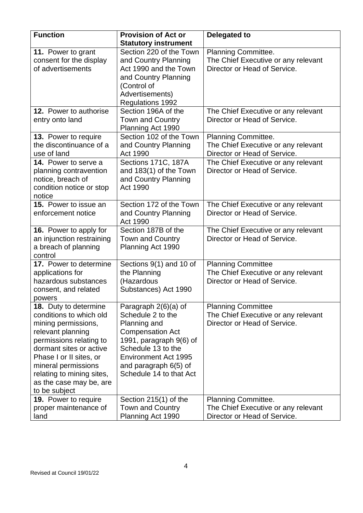| <b>Function</b>                                                                                                                                                                                                                                                                      | <b>Provision of Act or</b><br><b>Statutory instrument</b>                                                                                                                                                                    | <b>Delegated to</b>                                                                              |
|--------------------------------------------------------------------------------------------------------------------------------------------------------------------------------------------------------------------------------------------------------------------------------------|------------------------------------------------------------------------------------------------------------------------------------------------------------------------------------------------------------------------------|--------------------------------------------------------------------------------------------------|
| 11. Power to grant<br>consent for the display<br>of advertisements                                                                                                                                                                                                                   | Section 220 of the Town<br>and Country Planning<br>Act 1990 and the Town<br>and Country Planning<br>(Control of<br>Advertisements)<br>Regulations 1992                                                                       | Planning Committee.<br>The Chief Executive or any relevant<br>Director or Head of Service.       |
| 12. Power to authorise<br>entry onto land                                                                                                                                                                                                                                            | Section 196A of the<br><b>Town and Country</b><br>Planning Act 1990                                                                                                                                                          | The Chief Executive or any relevant<br>Director or Head of Service.                              |
| 13. Power to require<br>the discontinuance of a<br>use of land                                                                                                                                                                                                                       | Section 102 of the Town<br>and Country Planning<br>Act 1990                                                                                                                                                                  | Planning Committee.<br>The Chief Executive or any relevant<br>Director or Head of Service.       |
| 14. Power to serve a<br>planning contravention<br>notice, breach of<br>condition notice or stop<br>notice                                                                                                                                                                            | Sections 171C, 187A<br>and 183(1) of the Town<br>and Country Planning<br>Act 1990                                                                                                                                            | The Chief Executive or any relevant<br>Director or Head of Service.                              |
| 15. Power to issue an<br>enforcement notice                                                                                                                                                                                                                                          | Section 172 of the Town<br>and Country Planning<br>Act 1990                                                                                                                                                                  | The Chief Executive or any relevant<br>Director or Head of Service.                              |
| 16. Power to apply for<br>an injunction restraining<br>a breach of planning<br>control                                                                                                                                                                                               | Section 187B of the<br><b>Town and Country</b><br>Planning Act 1990                                                                                                                                                          | The Chief Executive or any relevant<br>Director or Head of Service.                              |
| 17. Power to determine<br>applications for<br>hazardous substances<br>consent, and related<br>powers                                                                                                                                                                                 | Sections 9(1) and 10 of<br>the Planning<br>(Hazardous<br>Substances) Act 1990                                                                                                                                                | <b>Planning Committee</b><br>The Chief Executive or any relevant<br>Director or Head of Service. |
| <b>18.</b> Duty to determine<br>conditions to which old<br>mining permissions,<br>relevant planning<br>permissions relating to<br>dormant sites or active<br>Phase I or II sites, or<br>mineral permissions<br>relating to mining sites,<br>as the case may be, are<br>to be subject | Paragraph $2(6)(a)$ of<br>Schedule 2 to the<br>Planning and<br><b>Compensation Act</b><br>1991, paragraph 9(6) of<br>Schedule 13 to the<br><b>Environment Act 1995</b><br>and paragraph $6(5)$ of<br>Schedule 14 to that Act | <b>Planning Committee</b><br>The Chief Executive or any relevant<br>Director or Head of Service. |
| 19. Power to require<br>proper maintenance of<br>land                                                                                                                                                                                                                                | Section 215(1) of the<br><b>Town and Country</b><br>Planning Act 1990                                                                                                                                                        | Planning Committee.<br>The Chief Executive or any relevant<br>Director or Head of Service.       |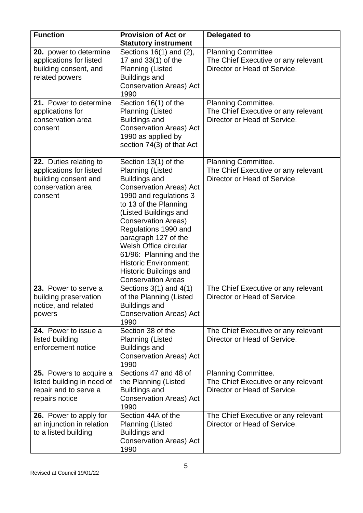| <b>Function</b>                                                                                           | <b>Provision of Act or</b><br><b>Statutory instrument</b>                                                                                                                                                                                                                                                                                                                                                             | Delegated to                                                                                      |
|-----------------------------------------------------------------------------------------------------------|-----------------------------------------------------------------------------------------------------------------------------------------------------------------------------------------------------------------------------------------------------------------------------------------------------------------------------------------------------------------------------------------------------------------------|---------------------------------------------------------------------------------------------------|
| 20. power to determine<br>applications for listed<br>building consent, and<br>related powers              | Sections 16(1) and (2),<br>17 and 33(1) of the<br><b>Planning (Listed</b><br><b>Buildings and</b><br><b>Conservation Areas) Act</b><br>1990                                                                                                                                                                                                                                                                           | <b>Planning Committee</b><br>The Chief Executive or any relevant<br>Director or Head of Service.  |
| 21. Power to determine<br>applications for<br>conservation area<br>consent                                | Section 16(1) of the<br><b>Planning (Listed</b><br><b>Buildings and</b><br><b>Conservation Areas) Act</b><br>1990 as applied by<br>section 74(3) of that Act                                                                                                                                                                                                                                                          | Planning Committee.<br>The Chief Executive or any relevant<br>Director or Head of Service.        |
| 22. Duties relating to<br>applications for listed<br>building consent and<br>conservation area<br>consent | Section 13(1) of the<br><b>Planning (Listed</b><br><b>Buildings and</b><br><b>Conservation Areas) Act</b><br>1990 and regulations 3<br>to 13 of the Planning<br>(Listed Buildings and<br><b>Conservation Areas)</b><br>Regulations 1990 and<br>paragraph 127 of the<br>Welsh Office circular<br>61/96: Planning and the<br><b>Historic Environment:</b><br><b>Historic Buildings and</b><br><b>Conservation Areas</b> | Planning Committee.<br>The Chief Executive or any relevant<br>Director or Head of Service.        |
| 23. Power to serve a<br>building preservation<br>notice, and related<br>powers                            | Sections $3(1)$ and $4(1)$<br>of the Planning (Listed<br><b>Buildings and</b><br><b>Conservation Areas) Act</b><br>1990                                                                                                                                                                                                                                                                                               | The Chief Executive or any relevant<br>Director or Head of Service.                               |
| 24. Power to issue a<br>listed building<br>enforcement notice                                             | Section 38 of the<br><b>Planning (Listed</b><br><b>Buildings and</b><br><b>Conservation Areas) Act</b><br>1990                                                                                                                                                                                                                                                                                                        | The Chief Executive or any relevant<br>Director or Head of Service.                               |
| 25. Powers to acquire a<br>listed building in need of<br>repair and to serve a<br>repairs notice          | Sections 47 and 48 of<br>the Planning (Listed<br><b>Buildings and</b><br><b>Conservation Areas) Act</b><br>1990                                                                                                                                                                                                                                                                                                       | <b>Planning Committee.</b><br>The Chief Executive or any relevant<br>Director or Head of Service. |
| 26. Power to apply for<br>an injunction in relation<br>to a listed building                               | Section 44A of the<br><b>Planning (Listed</b><br><b>Buildings and</b><br><b>Conservation Areas) Act</b><br>1990                                                                                                                                                                                                                                                                                                       | The Chief Executive or any relevant<br>Director or Head of Service.                               |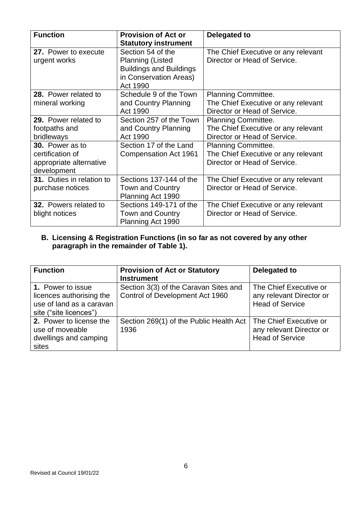| <b>Function</b>                                                               | <b>Provision of Act or</b><br><b>Statutory instrument</b>                                                            | Delegated to                                                                                      |
|-------------------------------------------------------------------------------|----------------------------------------------------------------------------------------------------------------------|---------------------------------------------------------------------------------------------------|
| 27. Power to execute<br>urgent works                                          | Section 54 of the<br><b>Planning (Listed</b><br><b>Buildings and Buildings</b><br>in Conservation Areas)<br>Act 1990 | The Chief Executive or any relevant<br>Director or Head of Service.                               |
| 28. Power related to<br>mineral working                                       | Schedule 9 of the Town<br>and Country Planning<br>Act 1990                                                           | Planning Committee.<br>The Chief Executive or any relevant<br>Director or Head of Service.        |
| 29. Power related to<br>footpaths and<br>bridleways                           | Section 257 of the Town<br>and Country Planning<br>Act 1990                                                          | Planning Committee.<br>The Chief Executive or any relevant<br>Director or Head of Service.        |
| 30. Power as to<br>certification of<br>appropriate alternative<br>development | Section 17 of the Land<br>Compensation Act 1961                                                                      | <b>Planning Committee.</b><br>The Chief Executive or any relevant<br>Director or Head of Service. |
| 31. Duties in relation to<br>purchase notices                                 | Sections 137-144 of the<br><b>Town and Country</b><br>Planning Act 1990                                              | The Chief Executive or any relevant<br>Director or Head of Service.                               |
| 32. Powers related to<br>blight notices                                       | Sections 149-171 of the<br><b>Town and Country</b><br>Planning Act 1990                                              | The Chief Executive or any relevant<br>Director or Head of Service.                               |

#### **B. Licensing & Registration Functions (in so far as not covered by any other paragraph in the remainder of Table 1).**

| <b>Function</b>                                                                                     | <b>Provision of Act or Statutory</b><br><b>Instrument</b>                | Delegated to                                                                 |
|-----------------------------------------------------------------------------------------------------|--------------------------------------------------------------------------|------------------------------------------------------------------------------|
| 1. Power to issue<br>licences authorising the<br>use of land as a caravan<br>site ("site licences") | Section 3(3) of the Caravan Sites and<br>Control of Development Act 1960 | The Chief Executive or<br>any relevant Director or<br><b>Head of Service</b> |
| 2. Power to license the<br>use of moveable<br>dwellings and camping<br>sites                        | Section 269(1) of the Public Health Act<br>1936                          | The Chief Executive or<br>any relevant Director or<br><b>Head of Service</b> |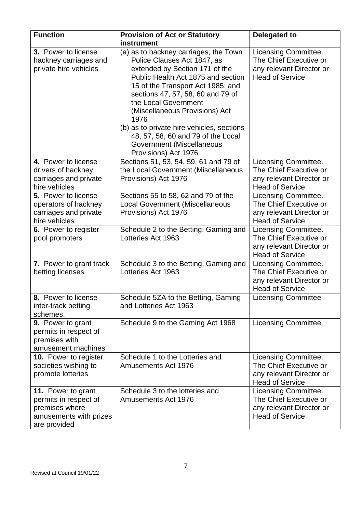| <b>Function</b>                                                                                         | <b>Provision of Act or Statutory</b><br>instrument                                                                                                                                                                                                                                                                                                                                                                               | <b>Delegated to</b>                                                                                  |
|---------------------------------------------------------------------------------------------------------|----------------------------------------------------------------------------------------------------------------------------------------------------------------------------------------------------------------------------------------------------------------------------------------------------------------------------------------------------------------------------------------------------------------------------------|------------------------------------------------------------------------------------------------------|
| 3. Power to license<br>hackney carriages and<br>private hire vehicles                                   | (a) as to hackney carriages, the Town<br>Police Clauses Act 1847, as<br>extended by Section 171 of the<br>Public Health Act 1875 and section<br>15 of the Transport Act 1985; and<br>sections 47, 57, 58, 60 and 79 of<br>the Local Government<br>(Miscellaneous Provisions) Act<br>1976<br>(b) as to private hire vehicles, sections<br>48, 57, 58, 60 and 79 of the Local<br>Government (Miscellaneous<br>Provisions) Act 1976 | Licensing Committee.<br>The Chief Executive or<br>any relevant Director or<br><b>Head of Service</b> |
| 4. Power to license<br>drivers of hackney<br>carriages and private<br>hire vehicles                     | Sections 51, 53, 54, 59, 61 and 79 of<br>the Local Government (Miscellaneous<br>Provisions) Act 1976                                                                                                                                                                                                                                                                                                                             | Licensing Committee.<br>The Chief Executive or<br>any relevant Director or<br><b>Head of Service</b> |
| 5. Power to license<br>operators of hackney<br>carriages and private<br>hire vehicles                   | Sections 55 to 58, 62 and 79 of the<br><b>Local Government (Miscellaneous</b><br>Provisions) Act 1976                                                                                                                                                                                                                                                                                                                            | Licensing Committee.<br>The Chief Executive or<br>any relevant Director or<br><b>Head of Service</b> |
| 6. Power to register<br>pool promoters                                                                  | Schedule 2 to the Betting, Gaming and<br>Lotteries Act 1963                                                                                                                                                                                                                                                                                                                                                                      | Licensing Committee.<br>The Chief Executive or<br>any relevant Director or<br><b>Head of Service</b> |
| 7. Power to grant track<br>betting licenses                                                             | Schedule 3 to the Betting, Gaming and<br>Lotteries Act 1963                                                                                                                                                                                                                                                                                                                                                                      | Licensing Committee.<br>The Chief Executive or<br>any relevant Director or<br><b>Head of Service</b> |
| 8. Power to license<br>inter-track betting<br>schemes.                                                  | Schedule 5ZA to the Betting, Gaming<br>and Lotteries Act 1963                                                                                                                                                                                                                                                                                                                                                                    | <b>Licensing Committee</b>                                                                           |
| 9. Power to grant<br>permits in respect of<br>premises with<br>amusement machines                       | Schedule 9 to the Gaming Act 1968                                                                                                                                                                                                                                                                                                                                                                                                | <b>Licensing Committee</b>                                                                           |
| 10. Power to register<br>societies wishing to<br>promote lotteries                                      | Schedule 1 to the Lotteries and<br>Amusements Act 1976                                                                                                                                                                                                                                                                                                                                                                           | Licensing Committee.<br>The Chief Executive or<br>any relevant Director or<br><b>Head of Service</b> |
| 11. Power to grant<br>permits in respect of<br>premises where<br>amusements with prizes<br>are provided | Schedule 3 to the lotteries and<br>Amusements Act 1976                                                                                                                                                                                                                                                                                                                                                                           | Licensing Committee.<br>The Chief Executive or<br>any relevant Director or<br><b>Head of Service</b> |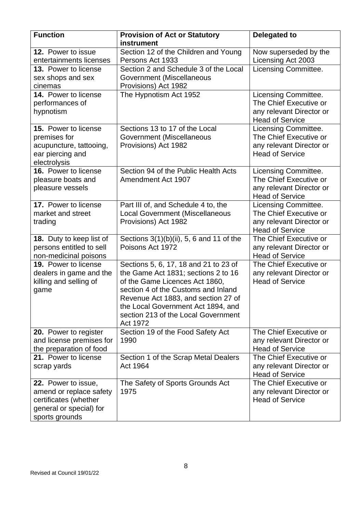| <b>Function</b>                                                                                                      | <b>Provision of Act or Statutory</b><br>instrument                                                                                                                                                                                                                                    | Delegated to                                                                                         |
|----------------------------------------------------------------------------------------------------------------------|---------------------------------------------------------------------------------------------------------------------------------------------------------------------------------------------------------------------------------------------------------------------------------------|------------------------------------------------------------------------------------------------------|
| 12. Power to issue<br>entertainments licenses                                                                        | Section 12 of the Children and Young<br>Persons Act 1933                                                                                                                                                                                                                              | Now superseded by the<br>Licensing Act 2003                                                          |
| 13. Power to license<br>sex shops and sex<br>cinemas                                                                 | Section 2 and Schedule 3 of the Local<br>Government (Miscellaneous<br>Provisions) Act 1982                                                                                                                                                                                            | Licensing Committee.                                                                                 |
| 14. Power to license<br>performances of<br>hypnotism                                                                 | The Hypnotism Act 1952                                                                                                                                                                                                                                                                | Licensing Committee.<br>The Chief Executive or<br>any relevant Director or<br><b>Head of Service</b> |
| 15. Power to license<br>premises for<br>acupuncture, tattooing,<br>ear piercing and<br>electrolysis                  | Sections 13 to 17 of the Local<br>Government (Miscellaneous<br>Provisions) Act 1982                                                                                                                                                                                                   | Licensing Committee.<br>The Chief Executive or<br>any relevant Director or<br><b>Head of Service</b> |
| 16. Power to license<br>pleasure boats and<br>pleasure vessels                                                       | Section 94 of the Public Health Acts<br>Amendment Act 1907                                                                                                                                                                                                                            | Licensing Committee.<br>The Chief Executive or<br>any relevant Director or<br><b>Head of Service</b> |
| 17. Power to license<br>market and street<br>trading                                                                 | Part III of, and Schedule 4 to, the<br><b>Local Government (Miscellaneous</b><br>Provisions) Act 1982                                                                                                                                                                                 | Licensing Committee.<br>The Chief Executive or<br>any relevant Director or<br><b>Head of Service</b> |
| 18. Duty to keep list of<br>persons entitled to sell<br>non-medicinal poisons                                        | Sections $3(1)(b)(ii)$ , 5, 6 and 11 of the<br>Poisons Act 1972                                                                                                                                                                                                                       | The Chief Executive or<br>any relevant Director or<br><b>Head of Service</b>                         |
| 19. Power to license<br>dealers in game and the<br>killing and selling of<br>game                                    | Sections 5, 6, 17, 18 and 21 to 23 of<br>the Game Act 1831; sections 2 to 16<br>of the Game Licences Act 1860,<br>section 4 of the Customs and Inland<br>Revenue Act 1883, and section 27 of<br>the Local Government Act 1894, and<br>section 213 of the Local Government<br>Act 1972 | The Chief Executive or<br>any relevant Director or<br><b>Head of Service</b>                         |
| 20. Power to register<br>and license premises for<br>the preparation of food                                         | Section 19 of the Food Safety Act<br>1990                                                                                                                                                                                                                                             | The Chief Executive or<br>any relevant Director or<br><b>Head of Service</b>                         |
| 21. Power to license<br>scrap yards                                                                                  | Section 1 of the Scrap Metal Dealers<br>Act 1964                                                                                                                                                                                                                                      | The Chief Executive or<br>any relevant Director or<br><b>Head of Service</b>                         |
| 22. Power to issue,<br>amend or replace safety<br>certificates (whether<br>general or special) for<br>sports grounds | The Safety of Sports Grounds Act<br>1975                                                                                                                                                                                                                                              | The Chief Executive or<br>any relevant Director or<br><b>Head of Service</b>                         |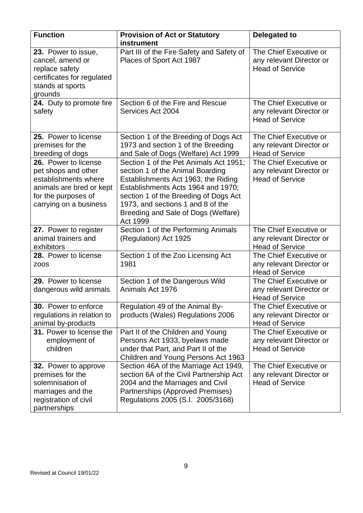| <b>Function</b>                                                                                                                                  | <b>Provision of Act or Statutory</b><br>instrument                                                                                                                                                                                                                                       | <b>Delegated to</b>                                                          |
|--------------------------------------------------------------------------------------------------------------------------------------------------|------------------------------------------------------------------------------------------------------------------------------------------------------------------------------------------------------------------------------------------------------------------------------------------|------------------------------------------------------------------------------|
| 23. Power to issue,<br>cancel, amend or<br>replace safety<br>certificates for regulated<br>stands at sports<br>grounds                           | Part III of the Fire Safety and Safety of<br>Places of Sport Act 1987                                                                                                                                                                                                                    | The Chief Executive or<br>any relevant Director or<br><b>Head of Service</b> |
| 24. Duty to promote fire<br>safety                                                                                                               | Section 6 of the Fire and Rescue<br>Services Act 2004                                                                                                                                                                                                                                    | The Chief Executive or<br>any relevant Director or<br><b>Head of Service</b> |
| 25. Power to license<br>premises for the<br>breeding of dogs                                                                                     | Section 1 of the Breeding of Dogs Act<br>1973 and section 1 of the Breeding<br>and Sale of Dogs (Welfare) Act 1999                                                                                                                                                                       | The Chief Executive or<br>any relevant Director or<br><b>Head of Service</b> |
| 26. Power to license<br>pet shops and other<br>establishments where<br>animals are bred or kept<br>for the purposes of<br>carrying on a business | Section 1 of the Pet Animals Act 1951;<br>section 1 of the Animal Boarding<br>Establishments Act 1963; the Riding<br>Establishments Acts 1964 and 1970;<br>section 1 of the Breeding of Dogs Act<br>1973, and sections 1 and 8 of the<br>Breeding and Sale of Dogs (Welfare)<br>Act 1999 | The Chief Executive or<br>any relevant Director or<br><b>Head of Service</b> |
| 27. Power to register<br>animal trainers and<br>exhibitors                                                                                       | Section 1 of the Performing Animals<br>(Regulation) Act 1925                                                                                                                                                                                                                             | The Chief Executive or<br>any relevant Director or<br><b>Head of Service</b> |
| 28. Power to license<br>ZOOS                                                                                                                     | Section 1 of the Zoo Licensing Act<br>1981                                                                                                                                                                                                                                               | The Chief Executive or<br>any relevant Director or<br><b>Head of Service</b> |
| 29. Power to license<br>dangerous wild animals                                                                                                   | Section 1 of the Dangerous Wild<br>Animals Act 1976                                                                                                                                                                                                                                      | The Chief Executive or<br>any relevant Director or<br><b>Head of Service</b> |
| <b>30.</b> Power to enforce<br>regulations in relation to<br>animal by-products                                                                  | Regulation 49 of the Animal By-<br>products (Wales) Regulations 2006                                                                                                                                                                                                                     | The Chief Executive or<br>any relevant Director or<br><b>Head of Service</b> |
| 31. Power to license the<br>employment of<br>children                                                                                            | Part II of the Children and Young<br>Persons Act 1933, byelaws made<br>under that Part, and Part II of the<br>Children and Young Persons Act 1963                                                                                                                                        | The Chief Executive or<br>any relevant Director or<br><b>Head of Service</b> |
| <b>32.</b> Power to approve<br>premises for the<br>solemnisation of<br>marriages and the<br>registration of civil<br>partnerships                | Section 46A of the Marriage Act 1949,<br>section 6A of the Civil Partnership Act<br>2004 and the Marriages and Civil<br>Partnerships (Approved Premises)<br>Regulations 2005 (S.I. 2005/3168)                                                                                            | The Chief Executive or<br>any relevant Director or<br><b>Head of Service</b> |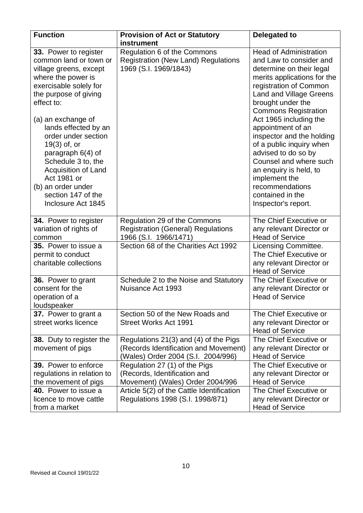| <b>Function</b>                                                                                                                                                                                                                                                                                                                                                                                          | <b>Provision of Act or Statutory</b><br>instrument                                                                   | Delegated to                                                                                                                                                                                                                                                                                                                                                                                                                                                                                          |
|----------------------------------------------------------------------------------------------------------------------------------------------------------------------------------------------------------------------------------------------------------------------------------------------------------------------------------------------------------------------------------------------------------|----------------------------------------------------------------------------------------------------------------------|-------------------------------------------------------------------------------------------------------------------------------------------------------------------------------------------------------------------------------------------------------------------------------------------------------------------------------------------------------------------------------------------------------------------------------------------------------------------------------------------------------|
| 33. Power to register<br>common land or town or<br>village greens, except<br>where the power is<br>exercisable solely for<br>the purpose of giving<br>effect to:<br>(a) an exchange of<br>lands effected by an<br>order under section<br>19(3) of, or<br>paragraph 6(4) of<br>Schedule 3 to, the<br>Acquisition of Land<br>Act 1981 or<br>(b) an order under<br>section 147 of the<br>Inclosure Act 1845 | Regulation 6 of the Commons<br><b>Registration (New Land) Regulations</b><br>1969 (S.I. 1969/1843)                   | <b>Head of Administration</b><br>and Law to consider and<br>determine on their legal<br>merits applications for the<br>registration of Common<br><b>Land and Village Greens</b><br>brought under the<br><b>Commons Registration</b><br>Act 1965 including the<br>appointment of an<br>inspector and the holding<br>of a public inquiry when<br>advised to do so by<br>Counsel and where such<br>an enquiry is held, to<br>implement the<br>recommendations<br>contained in the<br>Inspector's report. |
| 34. Power to register<br>variation of rights of<br>common                                                                                                                                                                                                                                                                                                                                                | Regulation 29 of the Commons<br><b>Registration (General) Regulations</b><br>1966 (S.I. 1966/1471)                   | The Chief Executive or<br>any relevant Director or<br><b>Head of Service</b>                                                                                                                                                                                                                                                                                                                                                                                                                          |
| 35. Power to issue a<br>permit to conduct<br>charitable collections                                                                                                                                                                                                                                                                                                                                      | Section 68 of the Charities Act 1992                                                                                 | Licensing Committee.<br>The Chief Executive or<br>any relevant Director or<br><b>Head of Service</b>                                                                                                                                                                                                                                                                                                                                                                                                  |
| 36. Power to grant<br>consent for the<br>operation of a<br>loudspeaker                                                                                                                                                                                                                                                                                                                                   | Schedule 2 to the Noise and Statutory<br>Nuisance Act 1993                                                           | The Chief Executive or<br>any relevant Director or<br><b>Head of Service</b>                                                                                                                                                                                                                                                                                                                                                                                                                          |
| 37. Power to grant a<br>street works licence                                                                                                                                                                                                                                                                                                                                                             | Section 50 of the New Roads and<br><b>Street Works Act 1991</b>                                                      | The Chief Executive or<br>any relevant Director or<br><b>Head of Service</b>                                                                                                                                                                                                                                                                                                                                                                                                                          |
| 38. Duty to register the<br>movement of pigs                                                                                                                                                                                                                                                                                                                                                             | Regulations 21(3) and (4) of the Pigs<br>(Records Identification and Movement)<br>(Wales) Order 2004 (S.I. 2004/996) | The Chief Executive or<br>any relevant Director or<br><b>Head of Service</b>                                                                                                                                                                                                                                                                                                                                                                                                                          |
| 39. Power to enforce<br>regulations in relation to<br>the movement of pigs                                                                                                                                                                                                                                                                                                                               | Regulation 27 (1) of the Pigs<br>(Records, Identification and<br>Movement) (Wales) Order 2004/996                    | The Chief Executive or<br>any relevant Director or<br><b>Head of Service</b>                                                                                                                                                                                                                                                                                                                                                                                                                          |
| 40. Power to issue a<br>licence to move cattle<br>from a market                                                                                                                                                                                                                                                                                                                                          | Article 5(2) of the Cattle Identification<br>Regulations 1998 (S.I. 1998/871)                                        | The Chief Executive or<br>any relevant Director or<br><b>Head of Service</b>                                                                                                                                                                                                                                                                                                                                                                                                                          |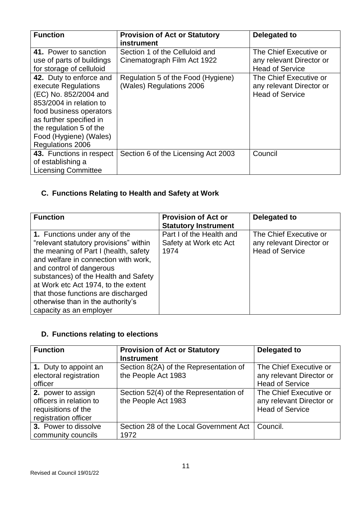| <b>Function</b>                                                                                                                                                                                                                                                                                 | <b>Provision of Act or Statutory</b><br>instrument                                                                              | Delegated to                                                                                                                                                 |
|-------------------------------------------------------------------------------------------------------------------------------------------------------------------------------------------------------------------------------------------------------------------------------------------------|---------------------------------------------------------------------------------------------------------------------------------|--------------------------------------------------------------------------------------------------------------------------------------------------------------|
| 41. Power to sanction<br>use of parts of buildings<br>for storage of celluloid<br>42. Duty to enforce and<br>execute Regulations<br>(EC) No. 852/2004 and<br>853/2004 in relation to<br>food business operators<br>as further specified in<br>the regulation 5 of the<br>Food (Hygiene) (Wales) | Section 1 of the Celluloid and<br>Cinematograph Film Act 1922<br>Regulation 5 of the Food (Hygiene)<br>(Wales) Regulations 2006 | The Chief Executive or<br>any relevant Director or<br><b>Head of Service</b><br>The Chief Executive or<br>any relevant Director or<br><b>Head of Service</b> |
| Regulations 2006                                                                                                                                                                                                                                                                                |                                                                                                                                 |                                                                                                                                                              |
| 43. Functions in respect<br>of establishing a<br><b>Licensing Committee</b>                                                                                                                                                                                                                     | Section 6 of the Licensing Act 2003                                                                                             | Council                                                                                                                                                      |

# **C. Functions Relating to Health and Safety at Work**

| <b>Function</b>                                                                                                                                                                                                                                                                                                                                                            | <b>Provision of Act or</b><br><b>Statutory Instrument</b>  | Delegated to                                                                 |
|----------------------------------------------------------------------------------------------------------------------------------------------------------------------------------------------------------------------------------------------------------------------------------------------------------------------------------------------------------------------------|------------------------------------------------------------|------------------------------------------------------------------------------|
| 1. Functions under any of the<br>"relevant statutory provisions" within<br>the meaning of Part I (health, safety<br>and welfare in connection with work,<br>and control of dangerous<br>substances) of the Health and Safety<br>at Work etc Act 1974, to the extent<br>that those functions are discharged<br>otherwise than in the authority's<br>capacity as an employer | Part I of the Health and<br>Safety at Work etc Act<br>1974 | The Chief Executive or<br>any relevant Director or<br><b>Head of Service</b> |

# **D. Functions relating to elections**

| <b>Function</b>                                                                              | <b>Provision of Act or Statutory</b><br><b>Instrument</b>     | Delegated to                                                                 |
|----------------------------------------------------------------------------------------------|---------------------------------------------------------------|------------------------------------------------------------------------------|
| 1. Duty to appoint an<br>electoral registration<br>officer                                   | Section 8(2A) of the Representation of<br>the People Act 1983 | The Chief Executive or<br>any relevant Director or<br><b>Head of Service</b> |
| 2. power to assign<br>officers in relation to<br>requisitions of the<br>registration officer | Section 52(4) of the Representation of<br>the People Act 1983 | The Chief Executive or<br>any relevant Director or<br><b>Head of Service</b> |
| 3. Power to dissolve<br>community councils                                                   | Section 28 of the Local Government Act<br>1972                | Council.                                                                     |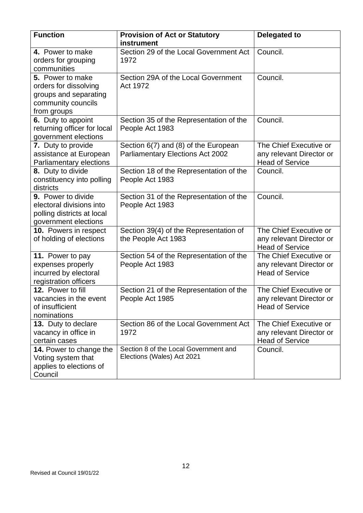| <b>Function</b>                                                                                         | <b>Provision of Act or Statutory</b><br>instrument                              | <b>Delegated to</b>                                                          |
|---------------------------------------------------------------------------------------------------------|---------------------------------------------------------------------------------|------------------------------------------------------------------------------|
| 4. Power to make<br>orders for grouping<br>communities                                                  | Section 29 of the Local Government Act<br>1972                                  | Council.                                                                     |
| 5. Power to make<br>orders for dissolving<br>groups and separating<br>community councils<br>from groups | Section 29A of the Local Government<br>Act 1972                                 | Council.                                                                     |
| 6. Duty to appoint<br>returning officer for local<br>government elections                               | Section 35 of the Representation of the<br>People Act 1983                      | Council.                                                                     |
| 7. Duty to provide<br>assistance at European<br><b>Parliamentary elections</b>                          | Section 6(7) and (8) of the European<br><b>Parliamentary Elections Act 2002</b> | The Chief Executive or<br>any relevant Director or<br><b>Head of Service</b> |
| 8. Duty to divide<br>constituency into polling<br>districts                                             | Section 18 of the Representation of the<br>People Act 1983                      | Council.                                                                     |
| 9. Power to divide<br>electoral divisions into<br>polling districts at local<br>government elections    | Section 31 of the Representation of the<br>People Act 1983                      | Council.                                                                     |
| 10. Powers in respect<br>of holding of elections                                                        | Section 39(4) of the Representation of<br>the People Act 1983                   | The Chief Executive or<br>any relevant Director or<br><b>Head of Service</b> |
| 11. Power to pay<br>expenses properly<br>incurred by electoral<br>registration officers                 | Section 54 of the Representation of the<br>People Act 1983                      | The Chief Executive or<br>any relevant Director or<br><b>Head of Service</b> |
| 12. Power to fill<br>vacancies in the event<br>of insufficient<br>nominations                           | Section 21 of the Representation of the<br>People Act 1985                      | The Chief Executive or<br>any relevant Director or<br><b>Head of Service</b> |
| <b>13.</b> Duty to declare<br>vacancy in office in<br>certain cases                                     | Section 86 of the Local Government Act<br>1972                                  | The Chief Executive or<br>any relevant Director or<br><b>Head of Service</b> |
| 14. Power to change the<br>Voting system that<br>applies to elections of<br>Council                     | Section 8 of the Local Government and<br>Elections (Wales) Act 2021             | Council.                                                                     |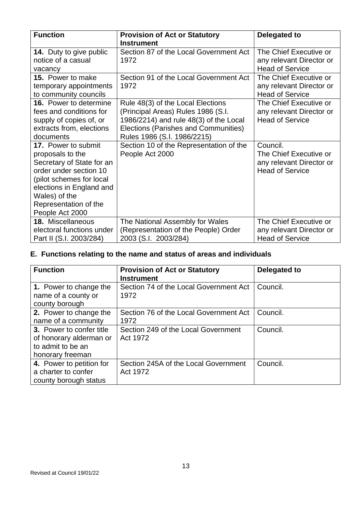| <b>Function</b>                                                                                                                                                                                                     | <b>Provision of Act or Statutory</b><br><b>Instrument</b>                                                                                                                                | Delegated to                                                                             |
|---------------------------------------------------------------------------------------------------------------------------------------------------------------------------------------------------------------------|------------------------------------------------------------------------------------------------------------------------------------------------------------------------------------------|------------------------------------------------------------------------------------------|
| <b>14.</b> Duty to give public<br>notice of a casual                                                                                                                                                                | Section 87 of the Local Government Act<br>1972                                                                                                                                           | The Chief Executive or                                                                   |
| vacancy                                                                                                                                                                                                             |                                                                                                                                                                                          | any relevant Director or<br><b>Head of Service</b>                                       |
| <b>15.</b> Power to make<br>temporary appointments<br>to community councils                                                                                                                                         | Section 91 of the Local Government Act<br>1972                                                                                                                                           | The Chief Executive or<br>any relevant Director or<br><b>Head of Service</b>             |
| <b>16.</b> Power to determine<br>fees and conditions for<br>supply of copies of, or<br>extracts from, elections<br>documents                                                                                        | Rule 48(3) of the Local Elections<br>(Principal Areas) Rules 1986 (S.I.<br>1986/2214) and rule 48(3) of the Local<br>Elections (Parishes and Communities)<br>Rules 1986 (S.I. 1986/2215) | The Chief Executive or<br>any relevant Director or<br><b>Head of Service</b>             |
| 17. Power to submit<br>proposals to the<br>Secretary of State for an<br>order under section 10<br>(pilot schemes for local<br>elections in England and<br>Wales) of the<br>Representation of the<br>People Act 2000 | Section 10 of the Representation of the<br>People Act 2000                                                                                                                               | Council.<br>The Chief Executive or<br>any relevant Director or<br><b>Head of Service</b> |
| 18. Miscellaneous<br>electoral functions under<br>Part II (S.I. 2003/284)                                                                                                                                           | The National Assembly for Wales<br>(Representation of the People) Order<br>2003 (S.I. 2003/284)                                                                                          | The Chief Executive or<br>any relevant Director or<br><b>Head of Service</b>             |

# **E. Functions relating to the name and status of areas and individuals**

| <b>Function</b>                                                                              | <b>Provision of Act or Statutory</b><br><b>Instrument</b> | Delegated to |
|----------------------------------------------------------------------------------------------|-----------------------------------------------------------|--------------|
| 1. Power to change the<br>name of a county or<br>county borough                              | Section 74 of the Local Government Act<br>1972            | Council.     |
| 2. Power to change the<br>name of a community                                                | Section 76 of the Local Government Act<br>1972            | Council.     |
| 3. Power to confer title<br>of honorary alderman or<br>to admit to be an<br>honorary freeman | Section 249 of the Local Government<br>Act 1972           | Council.     |
| 4. Power to petition for<br>a charter to confer<br>county borough status                     | Section 245A of the Local Government<br>Act 1972          | Council.     |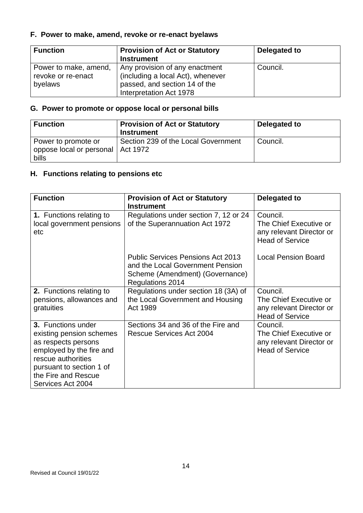## **F. Power to make, amend, revoke or re-enact byelaws**

| <b>Function</b>                                        | <b>Provision of Act or Statutory</b><br><b>Instrument</b>                                                                       | Delegated to |
|--------------------------------------------------------|---------------------------------------------------------------------------------------------------------------------------------|--------------|
| Power to make, amend,<br>revoke or re-enact<br>byelaws | Any provision of any enactment<br>(including a local Act), whenever<br>passed, and section 14 of the<br>Interpretation Act 1978 | Council.     |

#### **G. Power to promote or oppose local or personal bills**

| <b>Function</b>                                                     | <b>Provision of Act or Statutory</b><br><b>Instrument</b> | Delegated to |
|---------------------------------------------------------------------|-----------------------------------------------------------|--------------|
| Power to promote or<br>oppose local or personal   Act 1972<br>bills | Section 239 of the Local Government                       | Council.     |

# **H. Functions relating to pensions etc**

| <b>Provision of Act or Statutory</b>                                                                                                       | Delegated to                                                                             |
|--------------------------------------------------------------------------------------------------------------------------------------------|------------------------------------------------------------------------------------------|
| Regulations under section 7, 12 or 24<br>of the Superannuation Act 1972                                                                    | Council.<br>The Chief Executive or<br>any relevant Director or<br><b>Head of Service</b> |
| <b>Public Services Pensions Act 2013</b><br>and the Local Government Pension<br>Scheme (Amendment) (Governance)<br><b>Regulations 2014</b> | <b>Local Pension Board</b>                                                               |
| Regulations under section 18 (3A) of                                                                                                       | Council.                                                                                 |
| the Local Government and Housing                                                                                                           | The Chief Executive or                                                                   |
| Act 1989                                                                                                                                   | any relevant Director or<br><b>Head of Service</b>                                       |
| Sections 34 and 36 of the Fire and                                                                                                         | Council.                                                                                 |
|                                                                                                                                            | The Chief Executive or                                                                   |
|                                                                                                                                            | any relevant Director or                                                                 |
|                                                                                                                                            | <b>Head of Service</b>                                                                   |
|                                                                                                                                            |                                                                                          |
|                                                                                                                                            |                                                                                          |
|                                                                                                                                            |                                                                                          |
|                                                                                                                                            | <b>Instrument</b><br><b>Rescue Services Act 2004</b>                                     |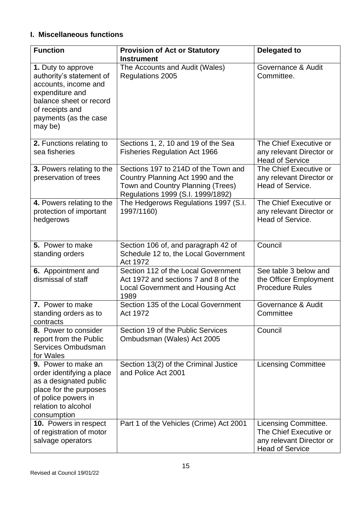## **I. Miscellaneous functions**

| <b>Function</b>                                                                                                                                                             | <b>Provision of Act or Statutory</b>                                                                                                                | <b>Delegated to</b>                                                                                  |
|-----------------------------------------------------------------------------------------------------------------------------------------------------------------------------|-----------------------------------------------------------------------------------------------------------------------------------------------------|------------------------------------------------------------------------------------------------------|
|                                                                                                                                                                             | <b>Instrument</b>                                                                                                                                   |                                                                                                      |
| 1. Duty to approve<br>authority's statement of<br>accounts, income and<br>expenditure and<br>balance sheet or record<br>of receipts and<br>payments (as the case<br>may be) | The Accounts and Audit (Wales)<br>Regulations 2005                                                                                                  | Governance & Audit<br>Committee.                                                                     |
| 2. Functions relating to<br>sea fisheries                                                                                                                                   | Sections 1, 2, 10 and 19 of the Sea<br><b>Fisheries Regulation Act 1966</b>                                                                         | The Chief Executive or<br>any relevant Director or<br><b>Head of Service</b>                         |
| 3. Powers relating to the<br>preservation of trees                                                                                                                          | Sections 197 to 214D of the Town and<br>Country Planning Act 1990 and the<br>Town and Country Planning (Trees)<br>Regulations 1999 (S.I. 1999/1892) | The Chief Executive or<br>any relevant Director or<br>Head of Service.                               |
| 4. Powers relating to the<br>protection of important<br>hedgerows                                                                                                           | The Hedgerows Regulations 1997 (S.I.<br>1997/1160)                                                                                                  | The Chief Executive or<br>any relevant Director or<br>Head of Service.                               |
| 5. Power to make<br>standing orders                                                                                                                                         | Section 106 of, and paragraph 42 of<br>Schedule 12 to, the Local Government<br>Act 1972                                                             | Council                                                                                              |
| 6. Appointment and<br>dismissal of staff                                                                                                                                    | Section 112 of the Local Government<br>Act 1972 and sections 7 and 8 of the<br>Local Government and Housing Act<br>1989                             | See table 3 below and<br>the Officer Employment<br><b>Procedure Rules</b>                            |
| 7. Power to make<br>standing orders as to<br>contracts                                                                                                                      | Section 135 of the Local Government<br>Act 1972                                                                                                     | Governance & Audit<br>Committee                                                                      |
| 8. Power to consider<br>report from the Public<br>Services Ombudsman<br>for Wales                                                                                           | Section 19 of the Public Services<br>Ombudsman (Wales) Act 2005                                                                                     | Council                                                                                              |
| <b>9.</b> Power to make an<br>order identifying a place<br>as a designated public<br>place for the purposes<br>of police powers in<br>relation to alcohol<br>consumption    | Section 13(2) of the Criminal Justice<br>and Police Act 2001                                                                                        | <b>Licensing Committee</b>                                                                           |
| 10. Powers in respect<br>of registration of motor<br>salvage operators                                                                                                      | Part 1 of the Vehicles (Crime) Act 2001                                                                                                             | Licensing Committee.<br>The Chief Executive or<br>any relevant Director or<br><b>Head of Service</b> |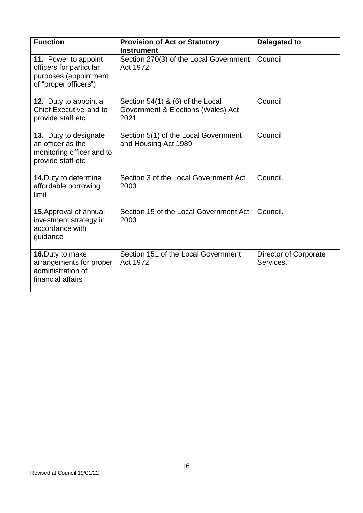| <b>Function</b>                                                                                   | <b>Provision of Act or Statutory</b><br><b>Instrument</b>                      | <b>Delegated to</b>                |
|---------------------------------------------------------------------------------------------------|--------------------------------------------------------------------------------|------------------------------------|
| 11. Power to appoint<br>officers for particular<br>purposes (appointment<br>of "proper officers") | Section 270(3) of the Local Government<br>Act 1972                             | Council                            |
| 12. Duty to appoint a<br>Chief Executive and to<br>provide staff etc                              | Section 54(1) & (6) of the Local<br>Government & Elections (Wales) Act<br>2021 | Council                            |
| 13. Duty to designate<br>an officer as the<br>monitoring officer and to<br>provide staff etc      | Section 5(1) of the Local Government<br>and Housing Act 1989                   | Council                            |
| 14. Duty to determine<br>affordable borrowing<br>limit                                            | Section 3 of the Local Government Act<br>2003                                  | Council.                           |
| 15. Approval of annual<br>investment strategy in<br>accordance with<br>guidance                   | Section 15 of the Local Government Act<br>2003                                 | Council.                           |
| 16. Duty to make<br>arrangements for proper<br>administration of<br>financial affairs             | Section 151 of the Local Government<br>Act 1972                                | Director of Corporate<br>Services. |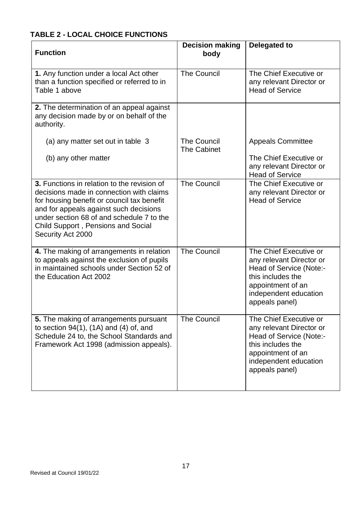## **TABLE 2 - LOCAL CHOICE FUNCTIONS**

| <b>Function</b>                                                                                                                                                                                                                                                                         | <b>Decision making</b><br>body           | Delegated to                                                                                                                                                       |
|-----------------------------------------------------------------------------------------------------------------------------------------------------------------------------------------------------------------------------------------------------------------------------------------|------------------------------------------|--------------------------------------------------------------------------------------------------------------------------------------------------------------------|
| 1. Any function under a local Act other<br>than a function specified or referred to in<br>Table 1 above                                                                                                                                                                                 | <b>The Council</b>                       | The Chief Executive or<br>any relevant Director or<br><b>Head of Service</b>                                                                                       |
| 2. The determination of an appeal against<br>any decision made by or on behalf of the<br>authority.                                                                                                                                                                                     |                                          |                                                                                                                                                                    |
| (a) any matter set out in table 3                                                                                                                                                                                                                                                       | <b>The Council</b><br><b>The Cabinet</b> | <b>Appeals Committee</b>                                                                                                                                           |
| (b) any other matter                                                                                                                                                                                                                                                                    |                                          | The Chief Executive or<br>any relevant Director or<br><b>Head of Service</b>                                                                                       |
| 3. Functions in relation to the revision of<br>decisions made in connection with claims<br>for housing benefit or council tax benefit<br>and for appeals against such decisions<br>under section 68 of and schedule 7 to the<br>Child Support, Pensions and Social<br>Security Act 2000 | <b>The Council</b>                       | The Chief Executive or<br>any relevant Director or<br><b>Head of Service</b>                                                                                       |
| 4. The making of arrangements in relation<br>to appeals against the exclusion of pupils<br>in maintained schools under Section 52 of<br>the Education Act 2002                                                                                                                          | <b>The Council</b>                       | The Chief Executive or<br>any relevant Director or<br>Head of Service (Note:-<br>this includes the<br>appointment of an<br>independent education<br>appeals panel) |
| 5. The making of arrangements pursuant<br>to section $94(1)$ , $(1A)$ and $(4)$ of, and<br>Schedule 24 to, the School Standards and<br>Framework Act 1998 (admission appeals).                                                                                                          | <b>The Council</b>                       | The Chief Executive or<br>any relevant Director or<br>Head of Service (Note:-<br>this includes the<br>appointment of an<br>independent education<br>appeals panel) |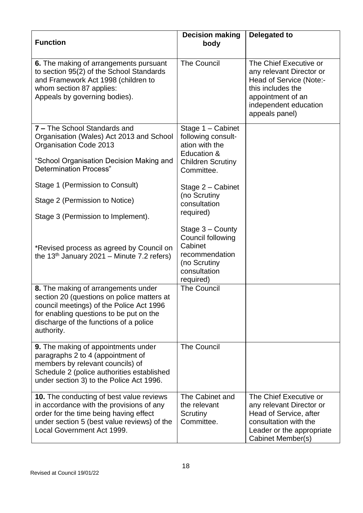| <b>Function</b>                                                                                                                                                                                                                  | <b>Decision making</b><br>body                                                                                    | Delegated to                                                                                                                                                       |
|----------------------------------------------------------------------------------------------------------------------------------------------------------------------------------------------------------------------------------|-------------------------------------------------------------------------------------------------------------------|--------------------------------------------------------------------------------------------------------------------------------------------------------------------|
| 6. The making of arrangements pursuant<br>to section 95(2) of the School Standards<br>and Framework Act 1998 (children to<br>whom section 87 applies:<br>Appeals by governing bodies).                                           | <b>The Council</b>                                                                                                | The Chief Executive or<br>any relevant Director or<br>Head of Service (Note:-<br>this includes the<br>appointment of an<br>independent education<br>appeals panel) |
| 7 - The School Standards and<br>Organisation (Wales) Act 2013 and School<br>Organisation Code 2013                                                                                                                               | Stage $1 -$ Cabinet<br>following consult-<br>ation with the<br>Education &                                        |                                                                                                                                                                    |
| "School Organisation Decision Making and<br><b>Determination Process"</b>                                                                                                                                                        | <b>Children Scrutiny</b><br>Committee.                                                                            |                                                                                                                                                                    |
| Stage 1 (Permission to Consult)                                                                                                                                                                                                  | Stage $2$ – Cabinet<br>(no Scrutiny                                                                               |                                                                                                                                                                    |
| Stage 2 (Permission to Notice)                                                                                                                                                                                                   | consultation                                                                                                      |                                                                                                                                                                    |
| Stage 3 (Permission to Implement).                                                                                                                                                                                               | required)                                                                                                         |                                                                                                                                                                    |
| *Revised process as agreed by Council on<br>the 13 <sup>th</sup> January 2021 – Minute 7.2 refers)                                                                                                                               | Stage $3 -$ County<br>Council following<br>Cabinet<br>recommendation<br>(no Scrutiny<br>consultation<br>required) |                                                                                                                                                                    |
| 8. The making of arrangements under<br>section 20 (questions on police matters at<br>council meetings) of the Police Act 1996<br>for enabling questions to be put on the<br>discharge of the functions of a police<br>authority. | <b>The Council</b>                                                                                                |                                                                                                                                                                    |
| <b>9.</b> The making of appointments under<br>paragraphs 2 to 4 (appointment of<br>members by relevant councils) of<br>Schedule 2 (police authorities established<br>under section 3) to the Police Act 1996.                    | <b>The Council</b>                                                                                                |                                                                                                                                                                    |
| <b>10.</b> The conducting of best value reviews<br>in accordance with the provisions of any<br>order for the time being having effect<br>under section 5 (best value reviews) of the<br>Local Government Act 1999.               | The Cabinet and<br>the relevant<br>Scrutiny<br>Committee.                                                         | The Chief Executive or<br>any relevant Director or<br>Head of Service, after<br>consultation with the<br>Leader or the appropriate<br>Cabinet Member(s)            |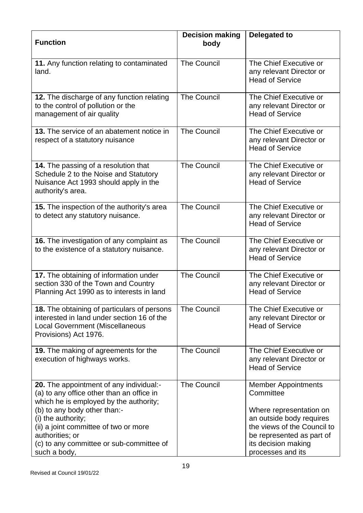| <b>Function</b>                                                                                                                                                                                                                                                                                              | <b>Decision making</b><br>body | <b>Delegated to</b>                                                                                                                                                                                    |
|--------------------------------------------------------------------------------------------------------------------------------------------------------------------------------------------------------------------------------------------------------------------------------------------------------------|--------------------------------|--------------------------------------------------------------------------------------------------------------------------------------------------------------------------------------------------------|
| 11. Any function relating to contaminated<br>land.                                                                                                                                                                                                                                                           | <b>The Council</b>             | The Chief Executive or<br>any relevant Director or<br><b>Head of Service</b>                                                                                                                           |
| 12. The discharge of any function relating<br>to the control of pollution or the<br>management of air quality                                                                                                                                                                                                | <b>The Council</b>             | The Chief Executive or<br>any relevant Director or<br><b>Head of Service</b>                                                                                                                           |
| 13. The service of an abatement notice in<br>respect of a statutory nuisance                                                                                                                                                                                                                                 | <b>The Council</b>             | The Chief Executive or<br>any relevant Director or<br><b>Head of Service</b>                                                                                                                           |
| 14. The passing of a resolution that<br>Schedule 2 to the Noise and Statutory<br>Nuisance Act 1993 should apply in the<br>authority's area.                                                                                                                                                                  | <b>The Council</b>             | The Chief Executive or<br>any relevant Director or<br><b>Head of Service</b>                                                                                                                           |
| 15. The inspection of the authority's area<br>to detect any statutory nuisance.                                                                                                                                                                                                                              | <b>The Council</b>             | The Chief Executive or<br>any relevant Director or<br><b>Head of Service</b>                                                                                                                           |
| 16. The investigation of any complaint as<br>to the existence of a statutory nuisance.                                                                                                                                                                                                                       | <b>The Council</b>             | The Chief Executive or<br>any relevant Director or<br><b>Head of Service</b>                                                                                                                           |
| 17. The obtaining of information under<br>section 330 of the Town and Country<br>Planning Act 1990 as to interests in land                                                                                                                                                                                   | <b>The Council</b>             | The Chief Executive or<br>any relevant Director or<br><b>Head of Service</b>                                                                                                                           |
| <b>18.</b> The obtaining of particulars of persons<br>interested in land under section 16 of the<br><b>Local Government (Miscellaneous</b><br>Provisions) Act 1976.                                                                                                                                          | <b>The Council</b>             | The Chief Executive or<br>any relevant Director or<br><b>Head of Service</b>                                                                                                                           |
| 19. The making of agreements for the<br>execution of highways works.                                                                                                                                                                                                                                         | <b>The Council</b>             | The Chief Executive or<br>any relevant Director or<br><b>Head of Service</b>                                                                                                                           |
| 20. The appointment of any individual:-<br>(a) to any office other than an office in<br>which he is employed by the authority;<br>(b) to any body other than:-<br>(i) the authority;<br>(ii) a joint committee of two or more<br>authorities; or<br>(c) to any committee or sub-committee of<br>such a body, | <b>The Council</b>             | <b>Member Appointments</b><br>Committee<br>Where representation on<br>an outside body requires<br>the views of the Council to<br>be represented as part of<br>its decision making<br>processes and its |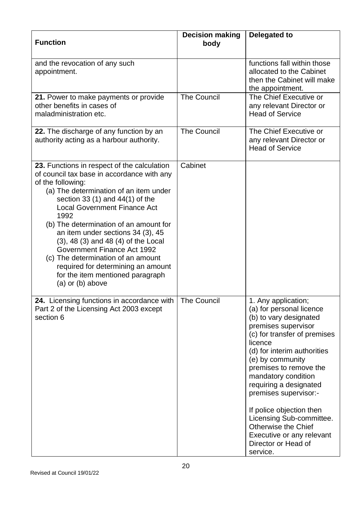| <b>Function</b>                                                                                                                                                                                                                                                                                                                                                                                                                                                                                                                                   | <b>Decision making</b><br>body | <b>Delegated to</b>                                                                                                                                                                                                                                                                                                                                                                                                                                      |
|---------------------------------------------------------------------------------------------------------------------------------------------------------------------------------------------------------------------------------------------------------------------------------------------------------------------------------------------------------------------------------------------------------------------------------------------------------------------------------------------------------------------------------------------------|--------------------------------|----------------------------------------------------------------------------------------------------------------------------------------------------------------------------------------------------------------------------------------------------------------------------------------------------------------------------------------------------------------------------------------------------------------------------------------------------------|
| and the revocation of any such<br>appointment.                                                                                                                                                                                                                                                                                                                                                                                                                                                                                                    |                                | functions fall within those<br>allocated to the Cabinet<br>then the Cabinet will make<br>the appointment.                                                                                                                                                                                                                                                                                                                                                |
| 21. Power to make payments or provide<br>other benefits in cases of<br>maladministration etc.                                                                                                                                                                                                                                                                                                                                                                                                                                                     | <b>The Council</b>             | The Chief Executive or<br>any relevant Director or<br><b>Head of Service</b>                                                                                                                                                                                                                                                                                                                                                                             |
| 22. The discharge of any function by an<br>authority acting as a harbour authority.                                                                                                                                                                                                                                                                                                                                                                                                                                                               | <b>The Council</b>             | The Chief Executive or<br>any relevant Director or<br><b>Head of Service</b>                                                                                                                                                                                                                                                                                                                                                                             |
| 23. Functions in respect of the calculation<br>of council tax base in accordance with any<br>of the following:<br>(a) The determination of an item under<br>section 33 $(1)$ and 44 $(1)$ of the<br><b>Local Government Finance Act</b><br>1992<br>(b) The determination of an amount for<br>an item under sections 34 (3), 45<br>$(3)$ , 48 $(3)$ and 48 $(4)$ of the Local<br>Government Finance Act 1992<br>(c) The determination of an amount<br>required for determining an amount<br>for the item mentioned paragraph<br>(a) or $(b)$ above | Cabinet                        |                                                                                                                                                                                                                                                                                                                                                                                                                                                          |
| icensing functions in accordance with<br>24<br>Part 2 of the Licensing Act 2003 except<br>section 6                                                                                                                                                                                                                                                                                                                                                                                                                                               | <b>The Council</b>             | 1. Any application;<br>(a) for personal licence<br>(b) to vary designated<br>premises supervisor<br>(c) for transfer of premises<br>licence<br>(d) for interim authorities<br>(e) by community<br>premises to remove the<br>mandatory condition<br>requiring a designated<br>premises supervisor:-<br>If police objection then<br>Licensing Sub-committee.<br><b>Otherwise the Chief</b><br>Executive or any relevant<br>Director or Head of<br>service. |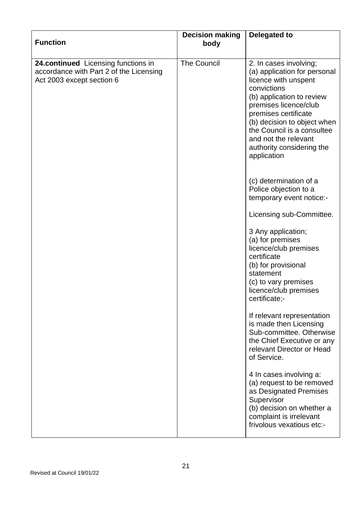| <b>Function</b>                                                                                             | <b>Decision making</b><br>body | <b>Delegated to</b>                                                                                                                                                                                                                                                                                          |
|-------------------------------------------------------------------------------------------------------------|--------------------------------|--------------------------------------------------------------------------------------------------------------------------------------------------------------------------------------------------------------------------------------------------------------------------------------------------------------|
| 24.continued Licensing functions in<br>accordance with Part 2 of the Licensing<br>Act 2003 except section 6 | <b>The Council</b>             | 2. In cases involving;<br>(a) application for personal<br>licence with unspent<br>convictions<br>(b) application to review<br>premises licence/club<br>premises certificate<br>(b) decision to object when<br>the Council is a consultee<br>and not the relevant<br>authority considering the<br>application |
|                                                                                                             |                                | (c) determination of a<br>Police objection to a<br>temporary event notice:-                                                                                                                                                                                                                                  |
|                                                                                                             |                                | Licensing sub-Committee.                                                                                                                                                                                                                                                                                     |
|                                                                                                             |                                | 3 Any application;<br>(a) for premises<br>licence/club premises<br>certificate<br>(b) for provisional<br>statement<br>(c) to vary premises<br>licence/club premises<br>certificate;-                                                                                                                         |
|                                                                                                             |                                | If relevant representation<br>is made then Licensing<br>Sub-committee. Otherwise<br>the Chief Executive or any<br>relevant Director or Head<br>of Service.                                                                                                                                                   |
|                                                                                                             |                                | 4 In cases involving a:<br>(a) request to be removed<br>as Designated Premises<br>Supervisor<br>(b) decision on whether a<br>complaint is irrelevant<br>frivolous vexatious etc:-                                                                                                                            |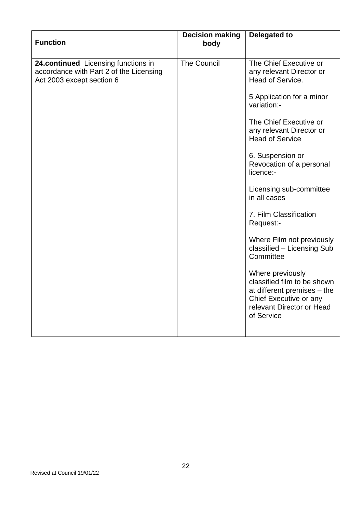| <b>Function</b>                                                                                             | <b>Decision making</b><br>body | <b>Delegated to</b>                                                                                                                                 |
|-------------------------------------------------------------------------------------------------------------|--------------------------------|-----------------------------------------------------------------------------------------------------------------------------------------------------|
| 24.continued Licensing functions in<br>accordance with Part 2 of the Licensing<br>Act 2003 except section 6 | <b>The Council</b>             | The Chief Executive or<br>any relevant Director or<br>Head of Service.                                                                              |
|                                                                                                             |                                | 5 Application for a minor<br>variation:-                                                                                                            |
|                                                                                                             |                                | The Chief Executive or<br>any relevant Director or<br><b>Head of Service</b>                                                                        |
|                                                                                                             |                                | 6. Suspension or<br>Revocation of a personal<br>licence:-                                                                                           |
|                                                                                                             |                                | Licensing sub-committee<br>in all cases                                                                                                             |
|                                                                                                             |                                | 7. Film Classification<br>Request:-                                                                                                                 |
|                                                                                                             |                                | Where Film not previously<br>classified - Licensing Sub<br>Committee                                                                                |
|                                                                                                             |                                | Where previously<br>classified film to be shown<br>at different premises – the<br>Chief Executive or any<br>relevant Director or Head<br>of Service |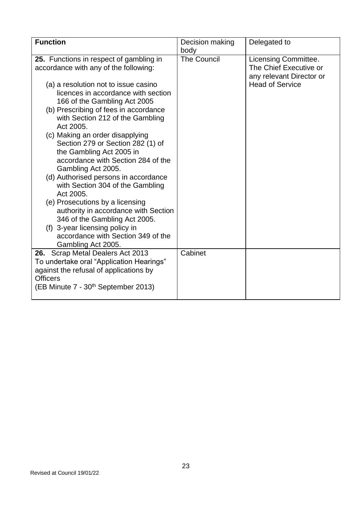| <b>Function</b>                                                                                                                                                                                                                                                                                                                                                                                                                                                                                                                                                                                                                                                                                                                                              | Decision making<br>body | Delegated to                                                                                         |
|--------------------------------------------------------------------------------------------------------------------------------------------------------------------------------------------------------------------------------------------------------------------------------------------------------------------------------------------------------------------------------------------------------------------------------------------------------------------------------------------------------------------------------------------------------------------------------------------------------------------------------------------------------------------------------------------------------------------------------------------------------------|-------------------------|------------------------------------------------------------------------------------------------------|
| 25. Functions in respect of gambling in<br>accordance with any of the following:<br>(a) a resolution not to issue casino<br>licences in accordance with section<br>166 of the Gambling Act 2005<br>(b) Prescribing of fees in accordance<br>with Section 212 of the Gambling<br>Act 2005.<br>(c) Making an order disapplying<br>Section 279 or Section 282 (1) of<br>the Gambling Act 2005 in<br>accordance with Section 284 of the<br>Gambling Act 2005.<br>(d) Authorised persons in accordance<br>with Section 304 of the Gambling<br>Act 2005.<br>(e) Prosecutions by a licensing<br>authority in accordance with Section<br>346 of the Gambling Act 2005.<br>(f) 3-year licensing policy in<br>accordance with Section 349 of the<br>Gambling Act 2005. | <b>The Council</b>      | Licensing Committee.<br>The Chief Executive or<br>any relevant Director or<br><b>Head of Service</b> |
| 26. Scrap Metal Dealers Act 2013<br>To undertake oral "Application Hearings"<br>against the refusal of applications by<br><b>Officers</b><br>(EB Minute 7 - 30 <sup>th</sup> September 2013)                                                                                                                                                                                                                                                                                                                                                                                                                                                                                                                                                                 | Cabinet                 |                                                                                                      |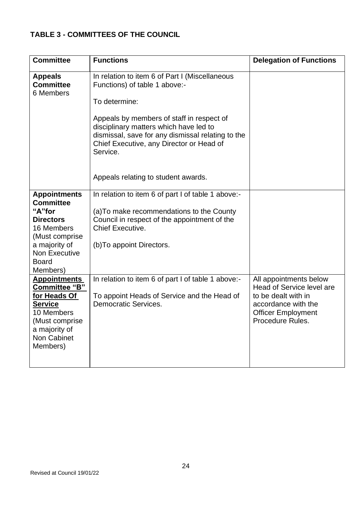## **TABLE 3 - COMMITTEES OF THE COUNCIL**

| <b>Committee</b>                                                                                            | <b>Functions</b>                                                                                                                                                                                 | <b>Delegation of Functions</b>                                                                    |
|-------------------------------------------------------------------------------------------------------------|--------------------------------------------------------------------------------------------------------------------------------------------------------------------------------------------------|---------------------------------------------------------------------------------------------------|
| <b>Appeals</b><br><b>Committee</b><br>6 Members                                                             | In relation to item 6 of Part I (Miscellaneous<br>Functions) of table 1 above:-                                                                                                                  |                                                                                                   |
|                                                                                                             | To determine:                                                                                                                                                                                    |                                                                                                   |
|                                                                                                             | Appeals by members of staff in respect of<br>disciplinary matters which have led to<br>dismissal, save for any dismissal relating to the<br>Chief Executive, any Director or Head of<br>Service. |                                                                                                   |
|                                                                                                             | Appeals relating to student awards.                                                                                                                                                              |                                                                                                   |
| <b>Appointments</b><br><b>Committee</b>                                                                     | In relation to item 6 of part I of table 1 above:-                                                                                                                                               |                                                                                                   |
| "A"for<br><b>Directors</b><br>16 Members                                                                    | (a) To make recommendations to the County<br>Council in respect of the appointment of the<br><b>Chief Executive.</b>                                                                             |                                                                                                   |
| (Must comprise<br>a majority of<br><b>Non Executive</b><br><b>Board</b><br>Members)                         | (b) To appoint Directors.                                                                                                                                                                        |                                                                                                   |
| <b>Appointments</b><br><b>Committee "B"</b>                                                                 | In relation to item 6 of part I of table 1 above:-                                                                                                                                               | All appointments below<br>Head of Service level are                                               |
| for Heads Of<br><b>Service</b><br>10 Members<br>(Must comprise)<br>a majority of<br>Non Cabinet<br>Members) | To appoint Heads of Service and the Head of<br>Democratic Services.                                                                                                                              | to be dealt with in<br>accordance with the<br><b>Officer Employment</b><br><b>Procedure Rules</b> |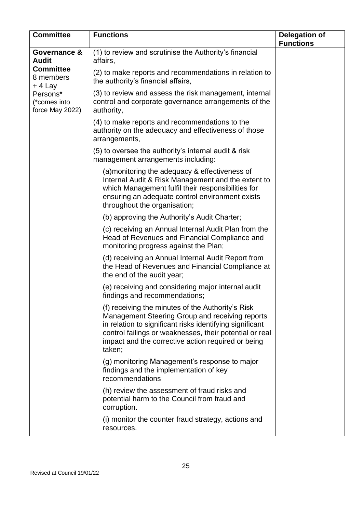| <b>Committee</b>                            | <b>Functions</b>                                                                                                                                                                                                                                                                            | <b>Delegation of</b><br><b>Functions</b> |
|---------------------------------------------|---------------------------------------------------------------------------------------------------------------------------------------------------------------------------------------------------------------------------------------------------------------------------------------------|------------------------------------------|
| Governance &<br><b>Audit</b>                | (1) to review and scrutinise the Authority's financial<br>affairs,                                                                                                                                                                                                                          |                                          |
| <b>Committee</b><br>8 members<br>+ 4 Lay    | (2) to make reports and recommendations in relation to<br>the authority's financial affairs,                                                                                                                                                                                                |                                          |
| Persons*<br>(*comes into<br>force May 2022) | (3) to review and assess the risk management, internal<br>control and corporate governance arrangements of the<br>authority,                                                                                                                                                                |                                          |
|                                             | (4) to make reports and recommendations to the<br>authority on the adequacy and effectiveness of those<br>arrangements,                                                                                                                                                                     |                                          |
|                                             | (5) to oversee the authority's internal audit & risk<br>management arrangements including:                                                                                                                                                                                                  |                                          |
|                                             | (a) monitoring the adequacy & effectiveness of<br>Internal Audit & Risk Management and the extent to<br>which Management fulfil their responsibilities for<br>ensuring an adequate control environment exists<br>throughout the organisation;                                               |                                          |
|                                             | (b) approving the Authority's Audit Charter;                                                                                                                                                                                                                                                |                                          |
|                                             | (c) receiving an Annual Internal Audit Plan from the<br>Head of Revenues and Financial Compliance and<br>monitoring progress against the Plan;                                                                                                                                              |                                          |
|                                             | (d) receiving an Annual Internal Audit Report from<br>the Head of Revenues and Financial Compliance at<br>the end of the audit year;                                                                                                                                                        |                                          |
|                                             | (e) receiving and considering major internal audit<br>findings and recommendations;                                                                                                                                                                                                         |                                          |
|                                             | (f) receiving the minutes of the Authority's Risk<br>Management Steering Group and receiving reports<br>in relation to significant risks identifying significant<br>control failings or weaknesses, their potential or real<br>impact and the corrective action required or being<br>taken; |                                          |
|                                             | (g) monitoring Management's response to major<br>findings and the implementation of key<br>recommendations                                                                                                                                                                                  |                                          |
|                                             | (h) review the assessment of fraud risks and<br>potential harm to the Council from fraud and<br>corruption.                                                                                                                                                                                 |                                          |
|                                             | (i) monitor the counter fraud strategy, actions and<br>resources.                                                                                                                                                                                                                           |                                          |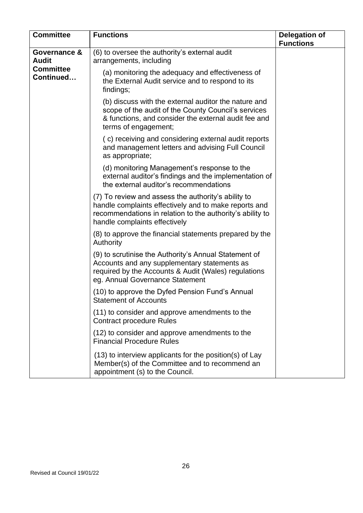| <b>Committee</b>              | <b>Functions</b>                                                                                                                                                                                           | <b>Delegation of</b><br><b>Functions</b> |
|-------------------------------|------------------------------------------------------------------------------------------------------------------------------------------------------------------------------------------------------------|------------------------------------------|
| Governance &<br><b>Audit</b>  | (6) to oversee the authority's external audit<br>arrangements, including                                                                                                                                   |                                          |
| <b>Committee</b><br>Continued | (a) monitoring the adequacy and effectiveness of<br>the External Audit service and to respond to its<br>findings;                                                                                          |                                          |
|                               | (b) discuss with the external auditor the nature and<br>scope of the audit of the County Council's services<br>& functions, and consider the external audit fee and<br>terms of engagement;                |                                          |
|                               | (c) receiving and considering external audit reports<br>and management letters and advising Full Council<br>as appropriate;                                                                                |                                          |
|                               | (d) monitoring Management's response to the<br>external auditor's findings and the implementation of<br>the external auditor's recommendations                                                             |                                          |
|                               | (7) To review and assess the authority's ability to<br>handle complaints effectively and to make reports and<br>recommendations in relation to the authority's ability to<br>handle complaints effectively |                                          |
|                               | (8) to approve the financial statements prepared by the<br>Authority                                                                                                                                       |                                          |
|                               | (9) to scrutinise the Authority's Annual Statement of<br>Accounts and any supplementary statements as<br>required by the Accounts & Audit (Wales) regulations<br>eg. Annual Governance Statement           |                                          |
|                               | (10) to approve the Dyfed Pension Fund's Annual<br><b>Statement of Accounts</b>                                                                                                                            |                                          |
|                               | (11) to consider and approve amendments to the<br><b>Contract procedure Rules</b>                                                                                                                          |                                          |
|                               | (12) to consider and approve amendments to the<br><b>Financial Procedure Rules</b>                                                                                                                         |                                          |
|                               | (13) to interview applicants for the position(s) of Lay<br>Member(s) of the Committee and to recommend an<br>appointment (s) to the Council.                                                               |                                          |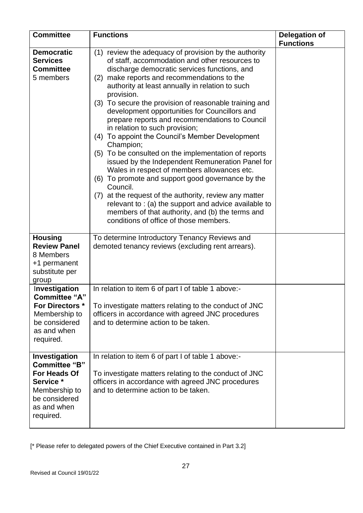| <b>Committee</b>                                                                                                                 | <b>Functions</b>                                                                                                                                                                                                                                                                                                                                                                                                                                                                                                                                                                                                                                                                                                                                                                                                                                                                                                                                                                       | <b>Delegation of</b><br><b>Functions</b> |
|----------------------------------------------------------------------------------------------------------------------------------|----------------------------------------------------------------------------------------------------------------------------------------------------------------------------------------------------------------------------------------------------------------------------------------------------------------------------------------------------------------------------------------------------------------------------------------------------------------------------------------------------------------------------------------------------------------------------------------------------------------------------------------------------------------------------------------------------------------------------------------------------------------------------------------------------------------------------------------------------------------------------------------------------------------------------------------------------------------------------------------|------------------------------------------|
| <b>Democratic</b><br><b>Services</b><br><b>Committee</b><br>5 members                                                            | (1) review the adequacy of provision by the authority<br>of staff, accommodation and other resources to<br>discharge democratic services functions, and<br>make reports and recommendations to the<br>(2)<br>authority at least annually in relation to such<br>provision.<br>(3) To secure the provision of reasonable training and<br>development opportunities for Councillors and<br>prepare reports and recommendations to Council<br>in relation to such provision;<br>(4) To appoint the Council's Member Development<br>Champion;<br>(5) To be consulted on the implementation of reports<br>issued by the Independent Remuneration Panel for<br>Wales in respect of members allowances etc.<br>(6) To promote and support good governance by the<br>Council.<br>(7) at the request of the authority, review any matter<br>relevant to : (a) the support and advice available to<br>members of that authority, and (b) the terms and<br>conditions of office of those members. |                                          |
| <b>Housing</b><br><b>Review Panel</b><br>8 Members<br>+1 permanent<br>substitute per<br>group                                    | To determine Introductory Tenancy Reviews and<br>demoted tenancy reviews (excluding rent arrears).                                                                                                                                                                                                                                                                                                                                                                                                                                                                                                                                                                                                                                                                                                                                                                                                                                                                                     |                                          |
| Investigation<br><b>Committee "A"</b><br><b>For Directors *</b><br>Membership to<br>be considered<br>as and when<br>required.    | In relation to item 6 of part I of table 1 above:-<br>To investigate matters relating to the conduct of JNC<br>officers in accordance with agreed JNC procedures<br>and to determine action to be taken.                                                                                                                                                                                                                                                                                                                                                                                                                                                                                                                                                                                                                                                                                                                                                                               |                                          |
| Investigation<br><b>Committee "B"</b><br>For Heads Of<br>Service *<br>Membership to<br>be considered<br>as and when<br>required. | In relation to item 6 of part I of table 1 above:-<br>To investigate matters relating to the conduct of JNC<br>officers in accordance with agreed JNC procedures<br>and to determine action to be taken.                                                                                                                                                                                                                                                                                                                                                                                                                                                                                                                                                                                                                                                                                                                                                                               |                                          |

[\* Please refer to delegated powers of the Chief Executive contained in Part 3.2]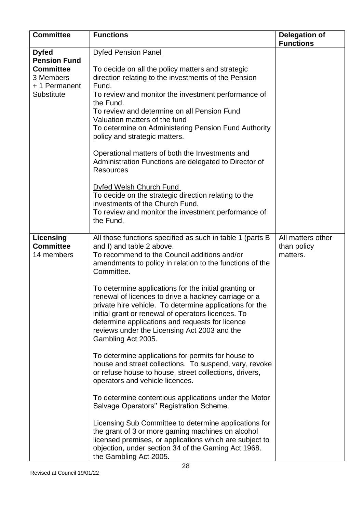| <b>Committee</b>                                            | <b>Functions</b>                                                                                                                                                                                                                                                                                                                                                                                                                                                                                                                                                                                                                                                                          | <b>Delegation of</b><br><b>Functions</b>     |
|-------------------------------------------------------------|-------------------------------------------------------------------------------------------------------------------------------------------------------------------------------------------------------------------------------------------------------------------------------------------------------------------------------------------------------------------------------------------------------------------------------------------------------------------------------------------------------------------------------------------------------------------------------------------------------------------------------------------------------------------------------------------|----------------------------------------------|
| <b>Dyfed</b><br><b>Pension Fund</b>                         | <b>Dyfed Pension Panel</b>                                                                                                                                                                                                                                                                                                                                                                                                                                                                                                                                                                                                                                                                |                                              |
| <b>Committee</b><br>3 Members<br>+1 Permanent<br>Substitute | To decide on all the policy matters and strategic<br>direction relating to the investments of the Pension<br>Fund.<br>To review and monitor the investment performance of<br>the Fund.<br>To review and determine on all Pension Fund<br>Valuation matters of the fund<br>To determine on Administering Pension Fund Authority<br>policy and strategic matters.<br>Operational matters of both the Investments and<br>Administration Functions are delegated to Director of<br><b>Resources</b><br>Dyfed Welsh Church Fund<br>To decide on the strategic direction relating to the<br>investments of the Church Fund.<br>To review and monitor the investment performance of<br>the Fund. |                                              |
| Licensing<br><b>Committee</b><br>14 members                 | All those functions specified as such in table 1 (parts B<br>and I) and table 2 above.<br>To recommend to the Council additions and/or<br>amendments to policy in relation to the functions of the<br>Committee.<br>To determine applications for the initial granting or<br>renewal of licences to drive a hackney carriage or a<br>private hire vehicle. To determine applications for the<br>initial grant or renewal of operators licences. To<br>determine applications and requests for licence                                                                                                                                                                                     | All matters other<br>than policy<br>matters. |
|                                                             | reviews under the Licensing Act 2003 and the<br>Gambling Act 2005.<br>To determine applications for permits for house to<br>house and street collections. To suspend, vary, revoke<br>or refuse house to house, street collections, drivers,<br>operators and vehicle licences.<br>To determine contentious applications under the Motor<br>Salvage Operators" Registration Scheme.<br>Licensing Sub Committee to determine applications for<br>the grant of 3 or more gaming machines on alcohol<br>licensed premises, or applications which are subject to<br>objection, under section 34 of the Gaming Act 1968.<br>the Gambling Act 2005.                                             |                                              |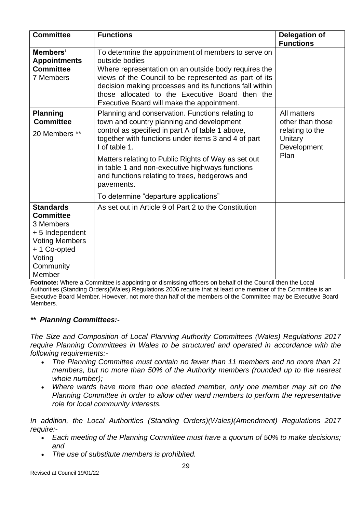| <b>Committee</b>                                                                                                                              | <b>Functions</b>                                                                                                                                                                                                                                                                                                                                                                                                                             | <b>Delegation of</b>                                                                 |
|-----------------------------------------------------------------------------------------------------------------------------------------------|----------------------------------------------------------------------------------------------------------------------------------------------------------------------------------------------------------------------------------------------------------------------------------------------------------------------------------------------------------------------------------------------------------------------------------------------|--------------------------------------------------------------------------------------|
|                                                                                                                                               |                                                                                                                                                                                                                                                                                                                                                                                                                                              | <b>Functions</b>                                                                     |
| Members'<br><b>Appointments</b><br><b>Committee</b><br>7 Members                                                                              | To determine the appointment of members to serve on<br>outside bodies<br>Where representation on an outside body requires the<br>views of the Council to be represented as part of its<br>decision making processes and its functions fall within<br>those allocated to the Executive Board then the<br>Executive Board will make the appointment.                                                                                           |                                                                                      |
| <b>Planning</b><br><b>Committee</b><br>20 Members **                                                                                          | Planning and conservation. Functions relating to<br>town and country planning and development<br>control as specified in part A of table 1 above,<br>together with functions under items 3 and 4 of part<br>I of table 1.<br>Matters relating to Public Rights of Way as set out<br>in table 1 and non-executive highways functions<br>and functions relating to trees, hedgerows and<br>pavements.<br>To determine "departure applications" | All matters<br>other than those<br>relating to the<br>Unitary<br>Development<br>Plan |
| <b>Standards</b><br><b>Committee</b><br>3 Members<br>+5 Independent<br><b>Voting Members</b><br>+ 1 Co-opted<br>Voting<br>Community<br>Member | As set out in Article 9 of Part 2 to the Constitution                                                                                                                                                                                                                                                                                                                                                                                        |                                                                                      |

**Footnote:** Where a Committee is appointing or dismissing officers on behalf of the Council then the Local Authorities (Standing Orders)(Wales) Regulations 2006 require that at least one member of the Committee is an Executive Board Member. However, not more than half of the members of the Committee may be Executive Board Members.

#### *\*\* Planning Committees:-*

*The Size and Composition of Local Planning Authority Committees (Wales) Regulations 2017 require Planning Committees in Wales to be structured and operated in accordance with the following requirements:-*

- *The Planning Committee must contain no fewer than 11 members and no more than 21 members, but no more than 50% of the Authority members (rounded up to the nearest whole number);*
- *Where wards have more than one elected member, only one member may sit on the Planning Committee in order to allow other ward members to perform the representative role for local community interests.*

*In addition, the Local Authorities (Standing Orders)(Wales)(Amendment) Regulations 2017 require:-*

- *Each meeting of the Planning Committee must have a quorum of 50% to make decisions; and*
- *The use of substitute members is prohibited.*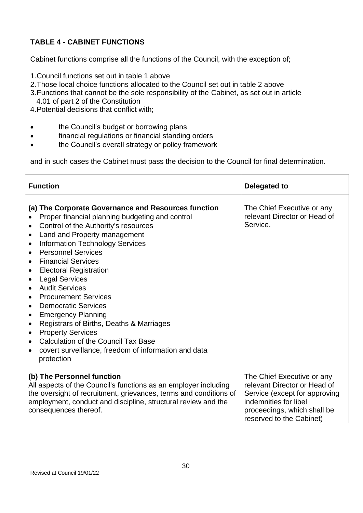### **TABLE 4 - CABINET FUNCTIONS**

Cabinet functions comprise all the functions of the Council, with the exception of;

- 1.Council functions set out in table 1 above
- 2.Those local choice functions allocated to the Council set out in table 2 above
- 3.Functions that cannot be the sole responsibility of the Cabinet, as set out in article 4.01 of part 2 of the Constitution
- 4.Potential decisions that conflict with;
- **the Council's budget or borrowing plans**
- financial regulations or financial standing orders
- the Council's overall strategy or policy framework

and in such cases the Cabinet must pass the decision to the Council for final determination.

| <b>Function</b>                                                                                                                                                                                                                                                                                                                                                                                                                                                                                                                                                                                                                                                                                                                                                                                                                                                | <b>Delegated to</b>                                                                                                                                                             |
|----------------------------------------------------------------------------------------------------------------------------------------------------------------------------------------------------------------------------------------------------------------------------------------------------------------------------------------------------------------------------------------------------------------------------------------------------------------------------------------------------------------------------------------------------------------------------------------------------------------------------------------------------------------------------------------------------------------------------------------------------------------------------------------------------------------------------------------------------------------|---------------------------------------------------------------------------------------------------------------------------------------------------------------------------------|
| (a) The Corporate Governance and Resources function<br>Proper financial planning budgeting and control<br>Control of the Authority's resources<br>$\bullet$<br>Land and Property management<br>$\bullet$<br><b>Information Technology Services</b><br>$\bullet$<br><b>Personnel Services</b><br>$\bullet$<br><b>Financial Services</b><br>$\bullet$<br><b>Electoral Registration</b><br>$\bullet$<br><b>Legal Services</b><br>$\bullet$<br><b>Audit Services</b><br>$\bullet$<br><b>Procurement Services</b><br>$\bullet$<br><b>Democratic Services</b><br>$\bullet$<br><b>Emergency Planning</b><br>$\bullet$<br>Registrars of Births, Deaths & Marriages<br>$\bullet$<br><b>Property Services</b><br>$\bullet$<br><b>Calculation of the Council Tax Base</b><br>$\bullet$<br>covert surveillance, freedom of information and data<br>$\bullet$<br>protection | The Chief Executive or any<br>relevant Director or Head of<br>Service.                                                                                                          |
| (b) The Personnel function<br>All aspects of the Council's functions as an employer including<br>the oversight of recruitment, grievances, terms and conditions of<br>employment, conduct and discipline, structural review and the<br>consequences thereof.                                                                                                                                                                                                                                                                                                                                                                                                                                                                                                                                                                                                   | The Chief Executive or any<br>relevant Director or Head of<br>Service (except for approving<br>indemnities for libel<br>proceedings, which shall be<br>reserved to the Cabinet) |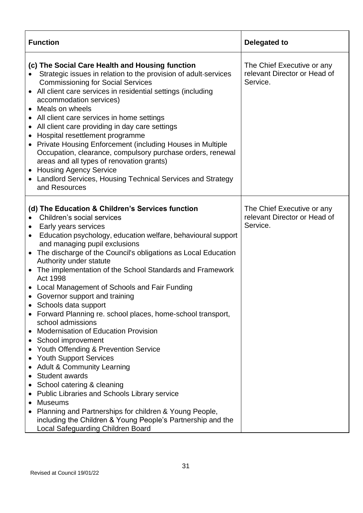| <b>Function</b>                                                                                                                                                                                                                                                                                                                                                                                                                                                                                                                                                                                                                                                                                                                                                                                                                                                                                                                                                                                                                                                                                                                                                                | Delegated to                                                           |
|--------------------------------------------------------------------------------------------------------------------------------------------------------------------------------------------------------------------------------------------------------------------------------------------------------------------------------------------------------------------------------------------------------------------------------------------------------------------------------------------------------------------------------------------------------------------------------------------------------------------------------------------------------------------------------------------------------------------------------------------------------------------------------------------------------------------------------------------------------------------------------------------------------------------------------------------------------------------------------------------------------------------------------------------------------------------------------------------------------------------------------------------------------------------------------|------------------------------------------------------------------------|
| (c) The Social Care Health and Housing function<br>Strategic issues in relation to the provision of adult-services<br><b>Commissioning for Social Services</b><br>• All client care services in residential settings (including<br>accommodation services)<br>• Meals on wheels<br>• All client care services in home settings<br>All client care providing in day care settings<br>Hospital resettlement programme<br>$\bullet$<br>Private Housing Enforcement (including Houses in Multiple<br>$\bullet$<br>Occupation, clearance, compulsory purchase orders, renewal<br>areas and all types of renovation grants)<br>• Housing Agency Service<br>• Landlord Services, Housing Technical Services and Strategy<br>and Resources                                                                                                                                                                                                                                                                                                                                                                                                                                             | The Chief Executive or any<br>relevant Director or Head of<br>Service. |
| (d) The Education & Children's Services function<br>Children's social services<br>Early years services<br>$\bullet$<br>Education psychology, education welfare, behavioural support<br>$\bullet$<br>and managing pupil exclusions<br>The discharge of the Council's obligations as Local Education<br>$\bullet$<br>Authority under statute<br>The implementation of the School Standards and Framework<br>$\bullet$<br>Act 1998<br>• Local Management of Schools and Fair Funding<br>• Governor support and training<br>Schools data support<br>Forward Planning re. school places, home-school transport,<br>school admissions<br><b>Modernisation of Education Provision</b><br>School improvement<br>$\bullet$<br>Youth Offending & Prevention Service<br>$\bullet$<br><b>Youth Support Services</b><br>$\bullet$<br><b>Adult &amp; Community Learning</b><br>Student awards<br>School catering & cleaning<br>$\bullet$<br><b>Public Libraries and Schools Library service</b><br><b>Museums</b><br>$\bullet$<br>Planning and Partnerships for children & Young People,<br>including the Children & Young People's Partnership and the<br>Local Safeguarding Children Board | The Chief Executive or any<br>relevant Director or Head of<br>Service. |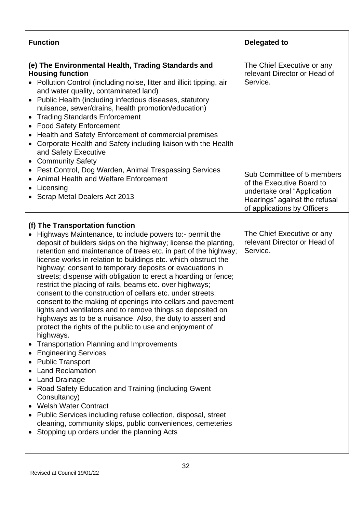| <b>Function</b>                                                                                                                                                                                                                                                                                                                                                                                                                                                                                                                                                                                                                                                                                                                                                                                                                                                                                                                                                                                                                                                                                                                                                                                                                                                                               | <b>Delegated to</b>                                                                                                                                    |
|-----------------------------------------------------------------------------------------------------------------------------------------------------------------------------------------------------------------------------------------------------------------------------------------------------------------------------------------------------------------------------------------------------------------------------------------------------------------------------------------------------------------------------------------------------------------------------------------------------------------------------------------------------------------------------------------------------------------------------------------------------------------------------------------------------------------------------------------------------------------------------------------------------------------------------------------------------------------------------------------------------------------------------------------------------------------------------------------------------------------------------------------------------------------------------------------------------------------------------------------------------------------------------------------------|--------------------------------------------------------------------------------------------------------------------------------------------------------|
| (e) The Environmental Health, Trading Standards and<br><b>Housing function</b><br>• Pollution Control (including noise, litter and illicit tipping, air<br>and water quality, contaminated land)<br>Public Health (including infectious diseases, statutory<br>$\bullet$<br>nuisance, sewer/drains, health promotion/education)<br><b>Trading Standards Enforcement</b><br>$\bullet$<br><b>Food Safety Enforcement</b><br>Health and Safety Enforcement of commercial premises<br>Corporate Health and Safety including liaison with the Health<br>and Safety Executive<br><b>Community Safety</b><br>$\bullet$                                                                                                                                                                                                                                                                                                                                                                                                                                                                                                                                                                                                                                                                               | The Chief Executive or any<br>relevant Director or Head of<br>Service.                                                                                 |
| Pest Control, Dog Warden, Animal Trespassing Services<br>Animal Health and Welfare Enforcement<br>• Licensing<br>• Scrap Metal Dealers Act 2013                                                                                                                                                                                                                                                                                                                                                                                                                                                                                                                                                                                                                                                                                                                                                                                                                                                                                                                                                                                                                                                                                                                                               | Sub Committee of 5 members<br>of the Executive Board to<br>undertake oral "Application<br>Hearings" against the refusal<br>of applications by Officers |
| (f) The Transportation function<br>Highways Maintenance, to include powers to:- permit the<br>$\bullet$<br>deposit of builders skips on the highway; license the planting,<br>retention and maintenance of trees etc. in part of the highway;<br>license works in relation to buildings etc. which obstruct the<br>highway; consent to temporary deposits or evacuations in<br>streets; dispense with obligation to erect a hoarding or fence;<br>restrict the placing of rails, beams etc. over highways;<br>consent to the construction of cellars etc. under streets;<br>consent to the making of openings into cellars and pavement<br>lights and ventilators and to remove things so deposited on<br>highways as to be a nuisance. Also, the duty to assert and<br>protect the rights of the public to use and enjoyment of<br>highways.<br><b>Transportation Planning and Improvements</b><br><b>Engineering Services</b><br><b>Public Transport</b><br><b>Land Reclamation</b><br><b>Land Drainage</b><br>Road Safety Education and Training (including Gwent<br>Consultancy)<br>• Welsh Water Contract<br>• Public Services including refuse collection, disposal, street<br>cleaning, community skips, public conveniences, cemeteries<br>Stopping up orders under the planning Acts | The Chief Executive or any<br>relevant Director or Head of<br>Service.                                                                                 |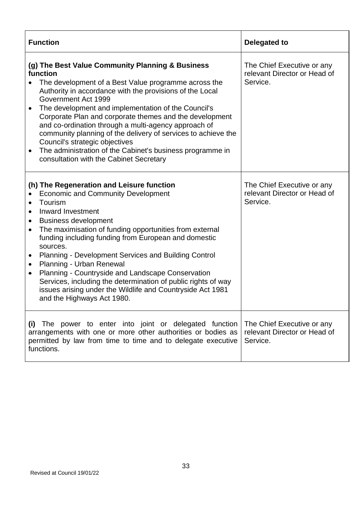| <b>Function</b>                                                                                                                                                                                                                                                                                                                                                                                                                                                                                                                                                                                                                                                          | Delegated to                                                           |
|--------------------------------------------------------------------------------------------------------------------------------------------------------------------------------------------------------------------------------------------------------------------------------------------------------------------------------------------------------------------------------------------------------------------------------------------------------------------------------------------------------------------------------------------------------------------------------------------------------------------------------------------------------------------------|------------------------------------------------------------------------|
| (g) The Best Value Community Planning & Business<br>function<br>The development of a Best Value programme across the<br>Authority in accordance with the provisions of the Local<br>Government Act 1999<br>The development and implementation of the Council's<br>Corporate Plan and corporate themes and the development<br>and co-ordination through a multi-agency approach of<br>community planning of the delivery of services to achieve the<br>Council's strategic objectives<br>The administration of the Cabinet's business programme in<br>$\bullet$<br>consultation with the Cabinet Secretary                                                                | The Chief Executive or any<br>relevant Director or Head of<br>Service. |
| (h) The Regeneration and Leisure function<br><b>Economic and Community Development</b><br>$\bullet$<br>Tourism<br>$\bullet$<br>Inward Investment<br><b>Business development</b><br>The maximisation of funding opportunities from external<br>$\bullet$<br>funding including funding from European and domestic<br>sources.<br>Planning - Development Services and Building Control<br>$\bullet$<br>Planning - Urban Renewal<br>$\bullet$<br>Planning - Countryside and Landscape Conservation<br>$\bullet$<br>Services, including the determination of public rights of way<br>issues arising under the Wildlife and Countryside Act 1981<br>and the Highways Act 1980. | The Chief Executive or any<br>relevant Director or Head of<br>Service. |
| (i) The power to enter into joint or delegated function<br>arrangements with one or more other authorities or bodies as<br>permitted by law from time to time and to delegate executive<br>functions.                                                                                                                                                                                                                                                                                                                                                                                                                                                                    | The Chief Executive or any<br>relevant Director or Head of<br>Service. |